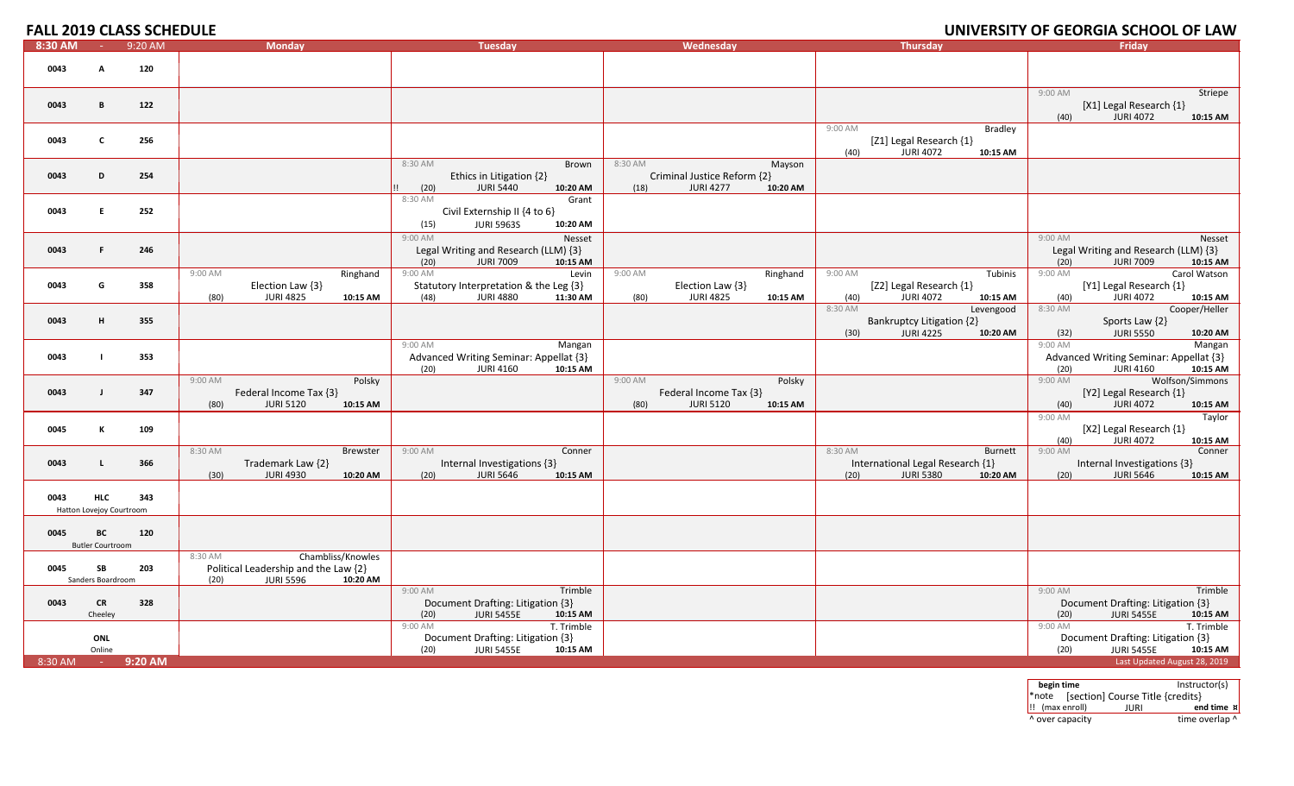## **FALL 2019 CLASS SCHEDULE**

|         |                          | <u>FALL ZVIJ CLAJJ JUHLDULL</u> |                                                                              |                                                                     |                                         |                                                                          | <u>UNIVERSITI UF ULURUIA SCHUUL UF LAW</u>                          |
|---------|--------------------------|---------------------------------|------------------------------------------------------------------------------|---------------------------------------------------------------------|-----------------------------------------|--------------------------------------------------------------------------|---------------------------------------------------------------------|
| 8:30 AM | <b>College</b>           | 9:20 AM                         | <b>Monday</b>                                                                | <b>Tuesday</b>                                                      | Wednesday                               | <b>Thursday</b>                                                          | <b>Fridav</b>                                                       |
| 0043    | A                        | 120                             |                                                                              |                                                                     |                                         |                                                                          |                                                                     |
|         |                          |                                 |                                                                              |                                                                     |                                         |                                                                          |                                                                     |
|         |                          |                                 |                                                                              |                                                                     |                                         |                                                                          | 9:00 AM<br>Striepe                                                  |
| 0043    | B                        | 122                             |                                                                              |                                                                     |                                         |                                                                          | [X1] Legal Research {1}                                             |
|         |                          |                                 |                                                                              |                                                                     |                                         |                                                                          | <b>JURI 4072</b><br>(40)<br>10:15 AM                                |
| 0043    | c                        | 256                             |                                                                              |                                                                     |                                         | <b>Bradley</b><br>9:00 AM<br>[Z1] Legal Research {1}                     |                                                                     |
|         |                          |                                 |                                                                              |                                                                     |                                         | <b>JURI 4072</b><br>(40)<br>10:15 AM                                     |                                                                     |
|         |                          |                                 |                                                                              | 8:30 AM<br>Brown                                                    | 8:30 AM<br>Mayson                       |                                                                          |                                                                     |
| 0043    | D                        | 254                             |                                                                              | Ethics in Litigation {2}                                            | Criminal Justice Reform {2}             |                                                                          |                                                                     |
|         |                          |                                 |                                                                              | <b>JURI 5440</b><br>(20)<br>10:20 AM<br>Ħ.<br>8:30 AM<br>Grant      | <b>JURI 4277</b><br>(18)<br>10:20 AM    |                                                                          |                                                                     |
| 0043    | E.                       | 252                             |                                                                              | Civil Externship II {4 to 6}                                        |                                         |                                                                          |                                                                     |
|         |                          |                                 |                                                                              | <b>JURI 5963S</b><br>10:20 AM<br>(15)                               |                                         |                                                                          |                                                                     |
|         |                          |                                 |                                                                              | 9:00 AM<br>Nesset                                                   |                                         |                                                                          | 9:00 AM<br>Nesset                                                   |
| 0043    | F.                       | 246                             |                                                                              | Legal Writing and Research (LLM) {3}                                |                                         |                                                                          | Legal Writing and Research (LLM) {3}                                |
|         |                          |                                 |                                                                              | (20)<br><b>JURI 7009</b><br>10:15 AM                                |                                         |                                                                          | (20)<br><b>JURI 7009</b><br>10:15 AM                                |
| 0043    | G                        | 358                             | Ringhand<br>9:00 AM<br>Election Law $\{3\}$                                  | Levin<br>9:00 AM<br>Statutory Interpretation & the Leg {3}          | Ringhand<br>9:00 AM<br>Election Law {3} | 9:00 AM<br>Tubinis<br>[Z2] Legal Research {1}                            | Carol Watson<br>9:00 AM<br>[Y1] Legal Research {1}                  |
|         |                          |                                 | (80)<br><b>JURI 4825</b><br>10:15 AM                                         | (48)<br><b>JURI 4880</b><br>11:30 AM                                | <b>JURI 4825</b><br>10:15 AM<br>(80)    | (40)<br><b>JURI 4072</b><br>10:15 AM                                     | <b>JURI 4072</b><br>(40)<br>10:15 AM                                |
|         |                          |                                 |                                                                              |                                                                     |                                         | 8:30 AM<br>Levengood                                                     | 8:30 AM<br>Cooper/Heller                                            |
| 0043    | н                        | 355                             |                                                                              |                                                                     |                                         | <b>Bankruptcy Litigation {2}</b>                                         | Sports Law {2}                                                      |
|         |                          |                                 |                                                                              | 9:00 AM<br>Mangan                                                   |                                         | (30)<br><b>JURI 4225</b><br>10:20 AM                                     | (32)<br><b>JURI 5550</b><br>10:20 AM<br>9:00 AM<br>Mangan           |
| 0043    |                          | 353                             |                                                                              | Advanced Writing Seminar: Appellat {3}                              |                                         |                                                                          | Advanced Writing Seminar: Appellat {3}                              |
|         |                          |                                 |                                                                              | (20)<br><b>JURI 4160</b><br>10:15 AM                                |                                         |                                                                          | (20)<br><b>JURI 4160</b><br>10:15 AM                                |
|         |                          |                                 | Polsky<br>9:00 AM                                                            |                                                                     | Polsky<br>9:00 AM                       |                                                                          | 9:00 AM<br>Wolfson/Simmons                                          |
| 0043    |                          | 347                             | Federal Income Tax {3}                                                       |                                                                     | Federal Income Tax {3}                  |                                                                          | [Y2] Legal Research {1}<br><b>JURI 4072</b>                         |
|         |                          |                                 | <b>JURI 5120</b><br>(80)<br>10:15 AM                                         |                                                                     | <b>JURI 5120</b><br>(80)<br>10:15 AM    |                                                                          | (40)<br>10:15 AM<br>9:00 AM<br>Taylor                               |
| 0045    | к                        | 109                             |                                                                              |                                                                     |                                         |                                                                          | [X2] Legal Research {1}                                             |
|         |                          |                                 |                                                                              |                                                                     |                                         |                                                                          | <b>JURI 4072</b><br>(40)<br>10:15 AM                                |
|         |                          |                                 | 8:30 AM<br><b>Brewster</b>                                                   | 9:00 AM<br>Conner                                                   |                                         | 8:30 AM<br>Burnett                                                       | 9:00 AM<br>Conner                                                   |
| 0043    | $\mathsf{L}$             | 366                             | Trademark Law {2}<br><b>JURI 4930</b><br>(30)<br>10:20 AM                    | Internal Investigations {3}<br><b>JURI 5646</b><br>(20)<br>10:15 AM |                                         | International Legal Research {1}<br><b>JURI 5380</b><br>(20)<br>10:20 AM | Internal Investigations {3}<br><b>JURI 5646</b><br>(20)<br>10:15 AM |
|         |                          |                                 |                                                                              |                                                                     |                                         |                                                                          |                                                                     |
| 0043    | <b>HLC</b>               | 343                             |                                                                              |                                                                     |                                         |                                                                          |                                                                     |
|         | Hatton Lovejoy Courtroom |                                 |                                                                              |                                                                     |                                         |                                                                          |                                                                     |
| 0045    | ВC                       | 120                             |                                                                              |                                                                     |                                         |                                                                          |                                                                     |
|         | <b>Butler Courtroom</b>  |                                 |                                                                              |                                                                     |                                         |                                                                          |                                                                     |
|         |                          |                                 | Chambliss/Knowles<br>8:30 AM                                                 |                                                                     |                                         |                                                                          |                                                                     |
| 0045    | SB<br>Sanders Boardroom  | 203                             | Political Leadership and the Law {2}<br><b>JURI 5596</b><br>10:20 AM<br>(20) |                                                                     |                                         |                                                                          |                                                                     |
|         |                          |                                 |                                                                              | Trimble<br>9:00 AM                                                  |                                         |                                                                          | Trimble<br>9:00 AM                                                  |
| 0043    | <b>CR</b>                | 328                             |                                                                              | Document Drafting: Litigation {3}                                   |                                         |                                                                          | Document Drafting: Litigation {3}                                   |
|         | Cheeley                  |                                 |                                                                              | (20)<br><b>JURI 5455E</b><br>10:15 AM                               |                                         |                                                                          | (20)<br><b>JURI 5455E</b><br>10:15 AM                               |
|         | ONL                      |                                 |                                                                              | T. Trimble<br>9:00 AM<br>Document Drafting: Litigation {3}          |                                         |                                                                          | T. Trimble<br>9:00 AM<br>Document Drafting: Litigation {3}          |
|         | Online                   |                                 |                                                                              | (20)<br><b>JURI 5455E</b><br>10:15 AM                               |                                         |                                                                          | (20)<br><b>JURI 5455E</b><br>10:15 AM                               |
| 8:30 AM |                          | 9:20 AM                         |                                                                              |                                                                     |                                         |                                                                          | Last Updated August 28, 2019                                        |
|         |                          |                                 |                                                                              |                                                                     |                                         |                                                                          |                                                                     |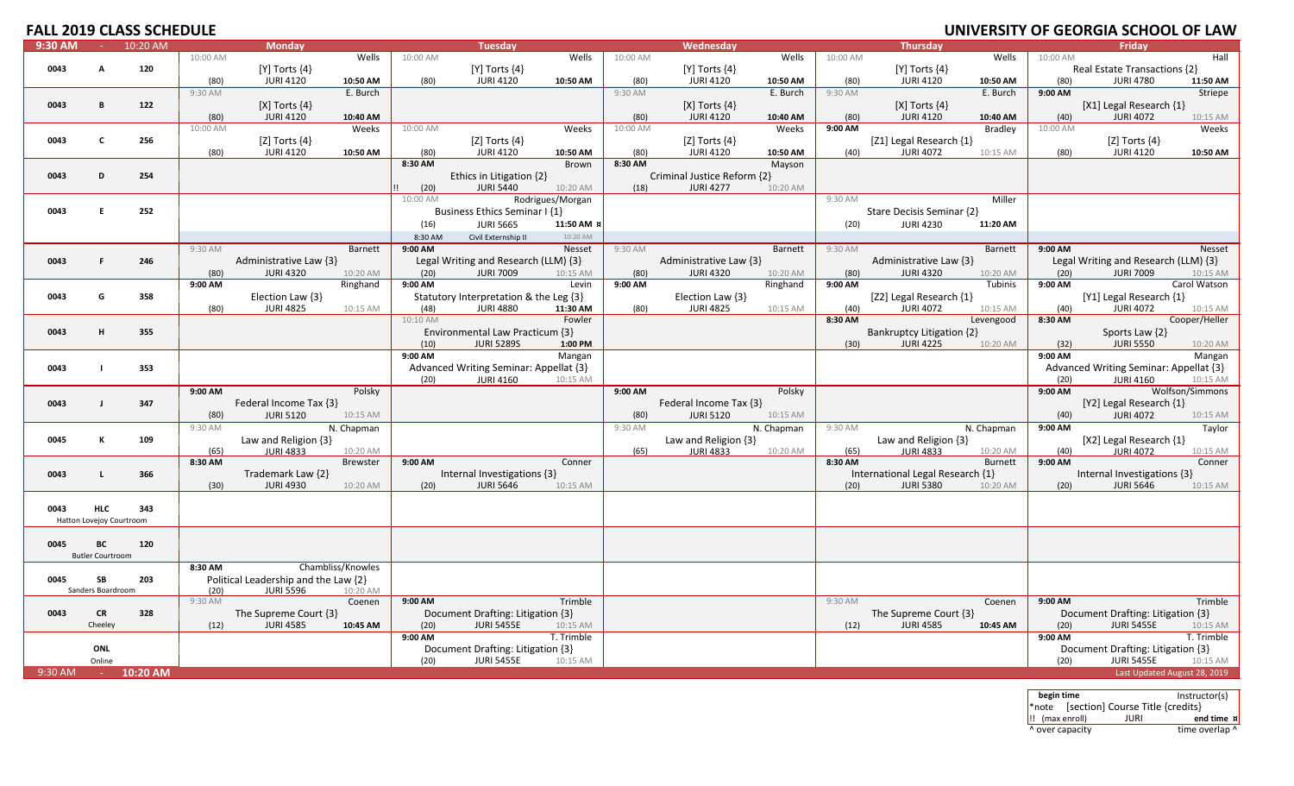|           |                          | いし ししいヒレ ししし |          |                                      |                   |          |                                        |                  |          |                             |            |          | <b>VIVI</b>                      |                | VLIVJITI UI ULUINUIA |                                        | VI LAV          |
|-----------|--------------------------|--------------|----------|--------------------------------------|-------------------|----------|----------------------------------------|------------------|----------|-----------------------------|------------|----------|----------------------------------|----------------|----------------------|----------------------------------------|-----------------|
| 9:30 AM   |                          | $10:20$ AM   |          | <b>Monday</b>                        |                   |          | <b>Tuesday</b>                         |                  |          | Wednesday                   |            |          | <b>Thursday</b>                  |                |                      | Friday                                 |                 |
|           |                          |              | 10:00 AM |                                      | Wells             | 10:00 AM |                                        | Wells            | 10:00 AM |                             | Wells      | 10:00 AM |                                  | Wells          | 10:00 AM             |                                        | Hall            |
| 0043      |                          | 120          |          | $[Y]$ Torts $\{4\}$                  |                   |          | $[Y]$ Torts $\{4\}$                    |                  |          | [Y] Torts $\{4\}$           |            |          | [Y] Torts $\{4\}$                |                |                      | Real Estate Transactions {2}           |                 |
|           |                          |              | (80)     | <b>JURI 4120</b>                     | 10:50 AM          | (80)     | <b>JURI 4120</b>                       | 10:50 AM         | (80)     | <b>JURI 4120</b>            | 10:50 AM   | (80)     | <b>JURI 4120</b>                 | 10:50 AM       | (80)                 | <b>JURI 4780</b>                       | 11:50 AM        |
|           |                          |              |          |                                      |                   |          |                                        |                  |          |                             |            |          |                                  |                |                      |                                        |                 |
|           |                          |              | 9:30 AM  |                                      | E. Burch          |          |                                        |                  | 9:30 AM  |                             | E. Burch   | 9:30 AM  |                                  | E. Burch       | 9:00 AM              |                                        | Striepe         |
| 0043      | B                        | 122          |          | $[X]$ Torts $\{4\}$                  |                   |          |                                        |                  |          | [X] Torts $\{4\}$           |            |          | [X] Torts $\{4\}$                |                |                      | [X1] Legal Research {1}                |                 |
|           |                          |              | (80)     | <b>JURI 4120</b>                     | 10:40 AM          |          |                                        |                  | (80)     | <b>JURI 4120</b>            | 10:40 AM   | (80)     | <b>JURI 4120</b>                 | 10:40 AM       | (40)                 | <b>JURI 4072</b>                       | 10:15 AM        |
|           |                          |              | 10:00 AM |                                      | Weeks             | 10:00 AM |                                        | Weeks            | 10:00 AM |                             | Weeks      | 9:00 AM  |                                  | Bradley        | 10:00 AM             |                                        | Weeks           |
|           |                          |              |          |                                      |                   |          |                                        |                  |          |                             |            |          |                                  |                |                      |                                        |                 |
| 0043      | C                        | 256          |          | [Z] Torts $\{4\}$                    |                   |          | [Z] Torts $\{4\}$                      |                  |          | [Z] Torts $\{4\}$           |            |          | [Z1] Legal Research {1}          |                |                      | [Z] Torts $\{4\}$                      |                 |
|           |                          |              | (80)     | <b>JURI 4120</b>                     | 10:50 AM          | (80)     | <b>JURI 4120</b>                       | 10:50 AM         | (80)     | <b>JURI 4120</b>            | 10:50 AM   | (40)     | <b>JURI 4072</b>                 | 10:15 AM       | (80)                 | <b>JURI 4120</b>                       | 10:50 AM        |
|           |                          |              |          |                                      |                   | 8:30 AM  |                                        | Brown            | 8:30 AM  |                             | Mayson     |          |                                  |                |                      |                                        |                 |
| 0043      | D                        | 254          |          |                                      |                   |          | Ethics in Litigation {2}               |                  |          | Criminal Justice Reform {2} |            |          |                                  |                |                      |                                        |                 |
|           |                          |              |          |                                      |                   | (20)     | <b>JURI 5440</b>                       | 10:20 AM         | (18)     | <b>JURI 4277</b>            | 10:20 AM   |          |                                  |                |                      |                                        |                 |
|           |                          |              |          |                                      |                   | 10:00 AM |                                        | Rodrigues/Morgan |          |                             |            | 9:30 AM  |                                  | Miller         |                      |                                        |                 |
|           |                          |              |          |                                      |                   |          |                                        |                  |          |                             |            |          |                                  |                |                      |                                        |                 |
| 0043      | F.                       | 252          |          |                                      |                   |          | Business Ethics Seminar I {1}          |                  |          |                             |            |          | Stare Decisis Seminar {2}        |                |                      |                                        |                 |
|           |                          |              |          |                                      |                   | (16)     | <b>JURI 5665</b>                       | 11:50 AM }       |          |                             |            | (20)     | <b>JURI 4230</b>                 | 11:20 AM       |                      |                                        |                 |
|           |                          |              |          |                                      |                   | 8:30 AM  | Civil Externship II                    | 10:20 AM         |          |                             |            |          |                                  |                |                      |                                        |                 |
|           |                          |              | 9:30 AM  |                                      | <b>Barnett</b>    | 9:00 AM  |                                        | Nesset           | 9:30 AM  |                             | Barnett    | 9:30 AM  |                                  | Barnett        | 9:00 AM              |                                        | Nesset          |
|           |                          |              |          |                                      |                   |          |                                        |                  |          |                             |            |          |                                  |                |                      |                                        |                 |
| 0043      | F.                       | 246          |          | Administrative Law {3}               |                   |          | Legal Writing and Research (LLM) {3}   |                  |          | Administrative Law {3}      |            |          | Administrative Law {3}           |                |                      | Legal Writing and Research (LLM) {3}   |                 |
|           |                          |              | (80)     | <b>JURI 4320</b>                     | 10:20 AM          | (20)     | <b>JURI 7009</b>                       | 10:15 AM         | (80)     | <b>JURI 4320</b>            | 10:20 AM   | (80)     | <b>JURI 4320</b>                 | 10:20 AM       | (20)                 | <b>JURI 7009</b>                       | 10:15 AM        |
|           |                          |              | 9:00 AM  |                                      | Ringhand          | 9:00 AM  |                                        | Levin            | 9:00 AM  |                             | Ringhand   | 9:00 AM  |                                  | Tubinis        | 9:00 AM              |                                        | Carol Watson    |
| 0043      | G                        | 358          |          | Election Law {3}                     |                   |          | Statutory Interpretation & the Leg {3} |                  |          | Election Law $\{3\}$        |            |          | [Z2] Legal Research {1}          |                |                      | [Y1] Legal Research {1}                |                 |
|           |                          |              | (80)     | <b>JURI 4825</b>                     |                   | (48)     | <b>JURI 4880</b>                       | 11:30 AM         | (80)     | <b>JURI 4825</b>            | 10:15 AM   | (40)     | <b>JURI 4072</b>                 |                | (40)                 | <b>JURI 4072</b>                       |                 |
|           |                          |              |          |                                      | 10:15 AM          |          |                                        |                  |          |                             |            |          |                                  | 10:15 AM       |                      |                                        | 10:15 AM        |
|           |                          |              |          |                                      |                   | 10:10 AM |                                        | Fowler           |          |                             |            | 8:30 AM  |                                  | Levengood      | 8:30 AM              |                                        | Cooper/Heller   |
| 0043      | н                        | 355          |          |                                      |                   |          | Environmental Law Practicum {3}        |                  |          |                             |            |          | Bankruptcy Litigation {2}        |                |                      | Sports Law {2}                         |                 |
|           |                          |              |          |                                      |                   | (10)     | <b>JURI 5289S</b>                      | 1:00 PM          |          |                             |            | (30)     | <b>JURI 4225</b>                 | 10:20 AM       | (32)                 | <b>JURI 5550</b>                       | 10:20 AM        |
|           |                          |              |          |                                      |                   | 9:00 AM  |                                        | Mangan           |          |                             |            |          |                                  |                | 9:00 AM              |                                        | Mangan          |
| 0043      |                          | 353          |          |                                      |                   |          | Advanced Writing Seminar: Appellat {3} |                  |          |                             |            |          |                                  |                |                      |                                        |                 |
|           |                          |              |          |                                      |                   |          |                                        |                  |          |                             |            |          |                                  |                |                      | Advanced Writing Seminar: Appellat {3} |                 |
|           |                          |              |          |                                      |                   | (20)     | <b>JURI 4160</b>                       | 10:15 AM         |          |                             |            |          |                                  |                | (20)                 | <b>JURI 4160</b>                       | 10:15 AM        |
|           |                          |              | 9:00 AM  |                                      | Polsky            |          |                                        |                  | 9:00 AM  |                             | Polsky     |          |                                  |                | 9:00 AM              |                                        | Wolfson/Simmons |
| 0043      | $\mathbf{I}$             | 347          |          | Federal Income Tax {3}               |                   |          |                                        |                  |          | Federal Income Tax {3}      |            |          |                                  |                |                      | [Y2] Legal Research {1}                |                 |
|           |                          |              | (80)     | <b>JURI 5120</b>                     | 10:15 AM          |          |                                        |                  | (80)     | <b>JURI 5120</b>            | 10:15 AM   |          |                                  |                | (40)                 | <b>JURI 4072</b>                       | 10:15 AM        |
|           |                          |              | 9:30 AM  |                                      | N. Chapman        |          |                                        |                  | 9:30 AM  |                             | N. Chapman | 9:30 AM  |                                  | N. Chapman     | 9:00 AM              |                                        | Taylor          |
|           |                          |              |          |                                      |                   |          |                                        |                  |          |                             |            |          |                                  |                |                      |                                        |                 |
| 0045      | К                        | 109          |          | Law and Religion $\{3\}$             |                   |          |                                        |                  |          | Law and Religion {3}        |            |          | Law and Religion {3}             |                |                      | [X2] Legal Research {1}                |                 |
|           |                          |              | (65)     | <b>JURI 4833</b>                     | 10:20 AM          |          |                                        |                  | (65)     | <b>JURI 4833</b>            | 10:20 AM   | (65)     | <b>JURI 4833</b>                 | 10:20 AM       | (40)                 | <b>JURI 4072</b>                       | 10:15 AM        |
|           |                          |              | 8:30 AM  |                                      | Brewster          | 9:00 AM  |                                        | Conner           |          |                             |            | 8:30 AM  |                                  | <b>Burnett</b> | 9:00 AM              |                                        | Conner          |
| 0043      | L                        | 366          |          | Trademark Law {2}                    |                   |          | Internal Investigations {3}            |                  |          |                             |            |          | International Legal Research {1} |                |                      | Internal Investigations {3}            |                 |
|           |                          |              | (30)     | <b>JURI 4930</b>                     | 10:20 AM          | (20)     | <b>JURI 5646</b>                       | 10:15 AM         |          |                             |            | (20)     | <b>JURI 5380</b>                 | 10:20 AM       | (20)                 | <b>JURI 5646</b>                       | 10:15 AM        |
|           |                          |              |          |                                      |                   |          |                                        |                  |          |                             |            |          |                                  |                |                      |                                        |                 |
| 0043      | <b>HLC</b>               | 343          |          |                                      |                   |          |                                        |                  |          |                             |            |          |                                  |                |                      |                                        |                 |
|           |                          |              |          |                                      |                   |          |                                        |                  |          |                             |            |          |                                  |                |                      |                                        |                 |
|           | Hatton Lovejoy Courtroom |              |          |                                      |                   |          |                                        |                  |          |                             |            |          |                                  |                |                      |                                        |                 |
|           |                          |              |          |                                      |                   |          |                                        |                  |          |                             |            |          |                                  |                |                      |                                        |                 |
| 0045      | BС                       | 120          |          |                                      |                   |          |                                        |                  |          |                             |            |          |                                  |                |                      |                                        |                 |
|           | <b>Butler Courtroom</b>  |              |          |                                      |                   |          |                                        |                  |          |                             |            |          |                                  |                |                      |                                        |                 |
|           |                          |              | 8:30 AM  |                                      | Chambliss/Knowles |          |                                        |                  |          |                             |            |          |                                  |                |                      |                                        |                 |
| 0045      |                          | 203          |          |                                      |                   |          |                                        |                  |          |                             |            |          |                                  |                |                      |                                        |                 |
|           | SB                       |              |          | Political Leadership and the Law {2} |                   |          |                                        |                  |          |                             |            |          |                                  |                |                      |                                        |                 |
|           | Sanders Boardroom        |              | (20)     | <b>JURI 5596</b>                     | 10:20 AM          |          |                                        |                  |          |                             |            |          |                                  |                |                      |                                        |                 |
|           |                          |              | 9:30 AM  |                                      | Coenen            | 9:00 AM  |                                        | Trimble          |          |                             |            | 9:30 AM  |                                  | Coenen         | 9:00 AM              |                                        | Trimble         |
| 0043      | <b>CR</b>                | 328          |          | The Supreme Court {3}                |                   |          | Document Drafting: Litigation {3}      |                  |          |                             |            |          | The Supreme Court {3}            |                |                      | Document Drafting: Litigation {3}      |                 |
|           | Cheeley                  |              | (12)     | <b>JURI 4585</b>                     | 10:45 AM          | (20)     | <b>JURI 5455E</b>                      | 10:15 AM         |          |                             |            | (12)     | <b>JURI 4585</b>                 | 10:45 AM       | (20)                 | <b>JURI 5455E</b>                      | 10:15 AM        |
|           |                          |              |          |                                      |                   | 9:00 AM  |                                        | T. Trimble       |          |                             |            |          |                                  |                | 9:00 AM              |                                        | T. Trimble      |
|           | <b>ONL</b>               |              |          |                                      |                   |          |                                        |                  |          |                             |            |          |                                  |                |                      |                                        |                 |
|           |                          |              |          |                                      |                   |          | Document Drafting: Litigation {3}      |                  |          |                             |            |          |                                  |                |                      | Document Drafting: Litigation {3}      |                 |
|           | Online                   |              |          |                                      |                   | (20)     | <b>JURI 5455E</b>                      | 10:15 AM         |          |                             |            |          |                                  |                | (20)                 | <b>JURI 5455E</b>                      | 10:15 AM        |
| $9:30$ AM |                          | $-10:20$ AM  |          |                                      |                   |          |                                        |                  |          |                             |            |          |                                  |                |                      | Last Updated August 28, 2019           |                 |
|           |                          |              |          |                                      |                   |          |                                        |                  |          |                             |            |          |                                  |                |                      |                                        |                 |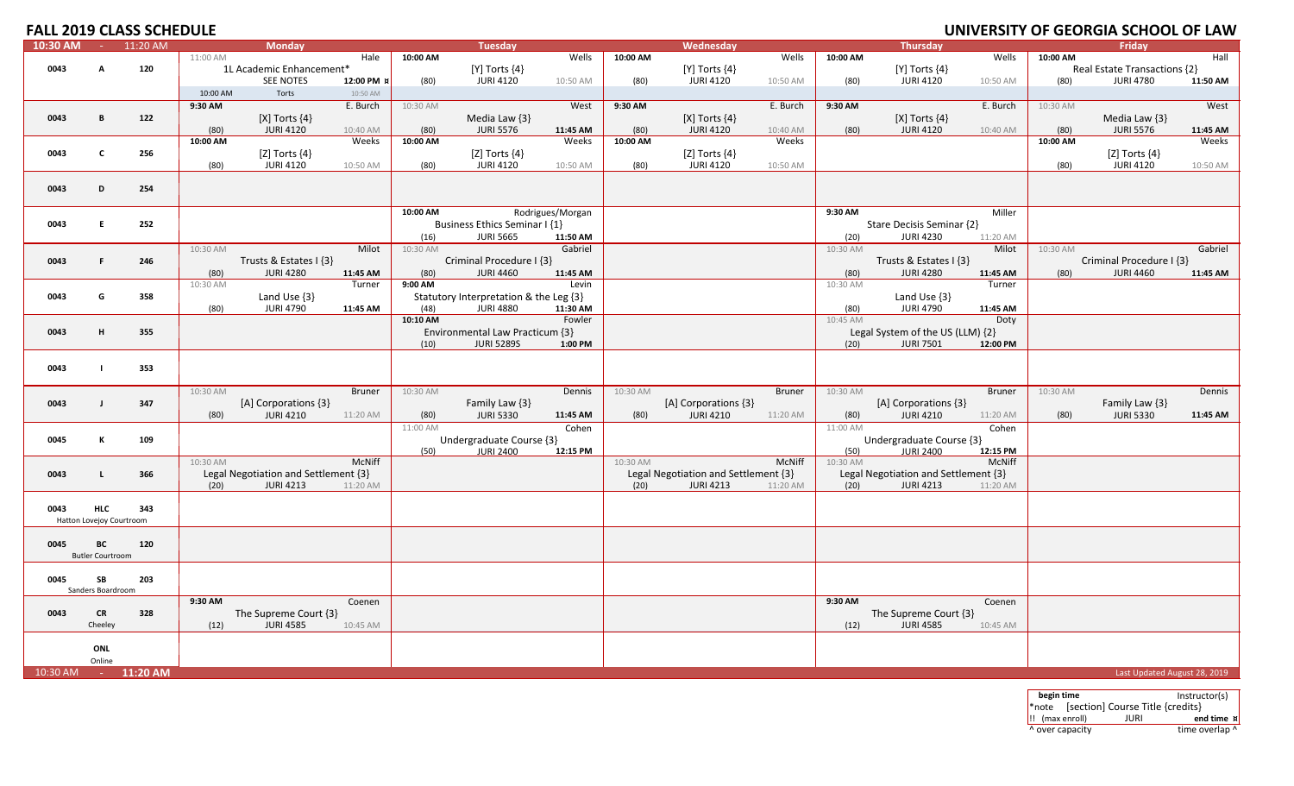# **UNIVERSITY OF GEORGIA SCHOOL OF LAW**

| 10:30 AM | $\sim 10$                | 11:20 AM    |          | <b>Monday</b>                        |               |                  | <b>Tuesday</b>                         |                  |          | Wednesday                            |               |                  | <b>Thursday</b>                      |               |          | Friday                       |          |
|----------|--------------------------|-------------|----------|--------------------------------------|---------------|------------------|----------------------------------------|------------------|----------|--------------------------------------|---------------|------------------|--------------------------------------|---------------|----------|------------------------------|----------|
|          |                          |             | 11:00 AM |                                      | Hale          | 10:00 AM         |                                        | Wells            | 10:00 AM |                                      | Wells         | 10:00 AM         |                                      | Wells         | 10:00 AM |                              | Hall     |
| 0043     | A                        | 120         |          | 1L Academic Enhancement*             |               |                  | $[Y]$ Torts $\{4\}$                    |                  |          | $[Y]$ Torts $\{4\}$                  |               |                  | $[Y]$ Torts $\{4\}$                  |               |          | Real Estate Transactions {2} |          |
|          |                          |             |          | <b>SEE NOTES</b>                     | 12:00 PM ¤    | (80)             | <b>JURI 4120</b>                       | 10:50 AM         | (80)     | <b>JURI 4120</b>                     | 10:50 AM      | (80)             | <b>JURI 4120</b>                     | 10:50 AM      | (80)     | <b>JURI 4780</b>             | 11:50 AM |
|          |                          |             | 10:00 AM | Torts                                | 10:50 AM      |                  |                                        |                  |          |                                      |               |                  |                                      |               |          |                              |          |
|          |                          |             | 9:30 AM  |                                      | E. Burch      | 10:30 AM         |                                        | West             | 9:30 AM  |                                      | E. Burch      | 9:30 AM          |                                      | E. Burch      | 10:30 AM |                              | West     |
|          |                          |             |          |                                      |               |                  |                                        |                  |          |                                      |               |                  |                                      |               |          |                              |          |
| 0043     | B                        | 122         |          | [X] Torts $\{4\}$                    |               |                  | Media Law $\{3\}$                      |                  |          | [X] Torts $\{4\}$                    |               |                  | [X] Torts $\{4\}$                    |               |          | Media Law {3}                |          |
|          |                          |             | (80)     | <b>JURI 4120</b>                     | 10:40 AM      | (80)             | <b>JURI 5576</b>                       | 11:45 AM         | (80)     | <b>JURI 4120</b>                     | 10:40 AM      | (80)             | <b>JURI 4120</b>                     | 10:40 AM      | (80)     | <b>JURI 5576</b>             | 11:45 AM |
|          |                          |             | 10:00 AM |                                      | Weeks         | 10:00 AM         |                                        | Weeks            | 10:00 AM |                                      | Weeks         |                  |                                      |               | 10:00 AM |                              | Weeks    |
| 0043     | $\mathbf{C}$             | 256         |          | [Z] Torts $\{4\}$                    |               |                  | [Z] Torts $\{4\}$                      |                  |          | [Z] Torts $\{4\}$                    |               |                  |                                      |               |          | [Z] Torts $\{4\}$            |          |
|          |                          |             | (80)     | <b>JURI 4120</b>                     | 10:50 AM      | (80)             | <b>JURI 4120</b>                       | 10:50 AM         | (80)     | <b>JURI 4120</b>                     | 10:50 AM      |                  |                                      |               | (80)     | <b>JURI 4120</b>             | 10:50 AM |
|          |                          |             |          |                                      |               |                  |                                        |                  |          |                                      |               |                  |                                      |               |          |                              |          |
| 0043     | D                        | 254         |          |                                      |               |                  |                                        |                  |          |                                      |               |                  |                                      |               |          |                              |          |
|          |                          |             |          |                                      |               |                  |                                        |                  |          |                                      |               |                  |                                      |               |          |                              |          |
|          |                          |             |          |                                      |               | 10:00 AM         |                                        | Rodrigues/Morgan |          |                                      |               | 9:30 AM          |                                      | Miller        |          |                              |          |
| 0043     | E.                       | 252         |          |                                      |               |                  | Business Ethics Seminar I {1}          |                  |          |                                      |               |                  | Stare Decisis Seminar {2}            |               |          |                              |          |
|          |                          |             |          |                                      |               | (16)             | <b>JURI 5665</b>                       | 11:50 AM         |          |                                      |               | (20)             | <b>JURI 4230</b>                     | 11:20 AM      |          |                              |          |
|          |                          |             | 10:30 AM |                                      | Milot         | 10:30 AM         |                                        | Gabriel          |          |                                      |               | 10:30 AM         |                                      | Milot         | 10:30 AM |                              | Gabriel  |
| 0043     | F.                       | 246         |          | Trusts & Estates I {3}               |               |                  | Criminal Procedure I {3}               |                  |          |                                      |               |                  | Trusts & Estates I {3}               |               |          | Criminal Procedure I {3}     |          |
|          |                          |             | (80)     | <b>JURI 4280</b>                     | 11:45 AM      | (80)             | <b>JURI 4460</b>                       | 11:45 AM         |          |                                      |               | (80)             | <b>JURI 4280</b>                     | 11:45 AM      | (80)     | <b>JURI 4460</b>             | 11:45 AM |
|          |                          |             | 10:30 AM |                                      | Turner        | 9:00 AM          |                                        | Levin            |          |                                      |               | 10:30 AM         |                                      | Turner        |          |                              |          |
| 0043     | G                        | 358         |          | Land Use $\{3\}$                     |               |                  | Statutory Interpretation & the Leg {3} |                  |          |                                      |               |                  | Land Use $\{3\}$                     |               |          |                              |          |
|          |                          |             |          |                                      |               |                  | <b>JURI 4880</b>                       | 11:30 AM         |          |                                      |               |                  | <b>JURI 4790</b>                     |               |          |                              |          |
|          |                          |             | (80)     | <b>JURI 4790</b>                     | 11:45 AM      | (48)<br>10:10 AM |                                        | Fowler           |          |                                      |               | (80)<br>10:45 AM |                                      | 11:45 AM      |          |                              |          |
|          |                          |             |          |                                      |               |                  |                                        |                  |          |                                      |               |                  |                                      | Doty          |          |                              |          |
| 0043     | H                        | 355         |          |                                      |               |                  | Environmental Law Practicum {3}        |                  |          |                                      |               |                  | Legal System of the US (LLM) {2}     |               |          |                              |          |
|          |                          |             |          |                                      |               | (10)             | <b>JURI 5289S</b>                      | 1:00 PM          |          |                                      |               | (20)             | <b>JURI 7501</b>                     | 12:00 PM      |          |                              |          |
|          |                          |             |          |                                      |               |                  |                                        |                  |          |                                      |               |                  |                                      |               |          |                              |          |
| 0043     |                          | 353         |          |                                      |               |                  |                                        |                  |          |                                      |               |                  |                                      |               |          |                              |          |
|          |                          |             |          |                                      |               |                  |                                        |                  |          |                                      |               |                  |                                      |               |          |                              |          |
|          |                          |             | 10:30 AM |                                      | <b>Bruner</b> | 10:30 AM         |                                        | Dennis           | 10:30 AM |                                      | <b>Bruner</b> | 10:30 AM         |                                      | <b>Bruner</b> | 10:30 AM |                              | Dennis   |
| 0043     | $\mathbf{J}$             | 347         |          | [A] Corporations {3}                 |               |                  | Family Law {3}                         |                  |          | [A] Corporations {3}                 |               |                  | [A] Corporations {3}                 |               |          | Family Law {3}               |          |
|          |                          |             | (80)     | <b>JURI 4210</b>                     | 11:20 AM      | (80)             | <b>JURI 5330</b>                       | 11:45 AM         | (80)     | <b>JURI 4210</b>                     | 11:20 AM      | (80)             | <b>JURI 4210</b>                     | 11:20 AM      | (80)     | <b>JURI 5330</b>             | 11:45 AM |
|          |                          |             |          |                                      |               | 11:00 AM         |                                        | Cohen            |          |                                      |               | 11:00 AM         |                                      | Cohen         |          |                              |          |
| 0045     | К                        | 109         |          |                                      |               |                  | Undergraduate Course {3}               |                  |          |                                      |               |                  | Undergraduate Course {3}             |               |          |                              |          |
|          |                          |             |          |                                      |               | (50)             | <b>JURI 2400</b>                       | 12:15 PM         |          |                                      |               | (50)             | <b>JURI 2400</b>                     | 12:15 PM      |          |                              |          |
|          |                          |             | 10:30 AM |                                      | McNiff        |                  |                                        |                  | 10:30 AM |                                      | McNiff        | 10:30 AM         |                                      | McNiff        |          |                              |          |
| 0043     | $\mathsf{L}$             | 366         |          | Legal Negotiation and Settlement {3} |               |                  |                                        |                  |          | Legal Negotiation and Settlement {3} |               |                  | Legal Negotiation and Settlement {3} |               |          |                              |          |
|          |                          |             | (20)     | <b>JURI 4213</b>                     | 11:20 AM      |                  |                                        |                  | (20)     | <b>JURI 4213</b>                     | 11:20 AM      | (20)             | <b>JURI 4213</b>                     | 11:20 AM      |          |                              |          |
|          |                          |             |          |                                      |               |                  |                                        |                  |          |                                      |               |                  |                                      |               |          |                              |          |
| 0043     | <b>HLC</b>               | 343         |          |                                      |               |                  |                                        |                  |          |                                      |               |                  |                                      |               |          |                              |          |
|          | Hatton Lovejoy Courtroom |             |          |                                      |               |                  |                                        |                  |          |                                      |               |                  |                                      |               |          |                              |          |
|          |                          |             |          |                                      |               |                  |                                        |                  |          |                                      |               |                  |                                      |               |          |                              |          |
| 0045     | ВC                       | 120         |          |                                      |               |                  |                                        |                  |          |                                      |               |                  |                                      |               |          |                              |          |
|          | <b>Butler Courtroom</b>  |             |          |                                      |               |                  |                                        |                  |          |                                      |               |                  |                                      |               |          |                              |          |
|          |                          |             |          |                                      |               |                  |                                        |                  |          |                                      |               |                  |                                      |               |          |                              |          |
| 0045     | SB                       | 203         |          |                                      |               |                  |                                        |                  |          |                                      |               |                  |                                      |               |          |                              |          |
|          | Sanders Boardroom        |             |          |                                      |               |                  |                                        |                  |          |                                      |               |                  |                                      |               |          |                              |          |
|          |                          |             | 9:30 AM  |                                      | Coenen        |                  |                                        |                  |          |                                      |               | 9:30 AM          |                                      | Coenen        |          |                              |          |
| 0043     | <b>CR</b>                | 328         |          | The Supreme Court {3}                |               |                  |                                        |                  |          |                                      |               |                  | The Supreme Court {3}                |               |          |                              |          |
|          | Cheeley                  |             | (12)     | <b>JURI 4585</b>                     | 10:45 AM      |                  |                                        |                  |          |                                      |               | (12)             | <b>JURI 4585</b>                     | 10:45 AM      |          |                              |          |
|          |                          |             |          |                                      |               |                  |                                        |                  |          |                                      |               |                  |                                      |               |          |                              |          |
|          | ONL                      |             |          |                                      |               |                  |                                        |                  |          |                                      |               |                  |                                      |               |          |                              |          |
|          | Online                   |             |          |                                      |               |                  |                                        |                  |          |                                      |               |                  |                                      |               |          |                              |          |
| 10:30 AM |                          | $-11:20$ AM |          |                                      |               |                  |                                        |                  |          |                                      |               |                  |                                      |               |          | Last Updated August 28, 2019 |          |
|          |                          |             |          |                                      |               |                  |                                        |                  |          |                                      |               |                  |                                      |               |          |                              |          |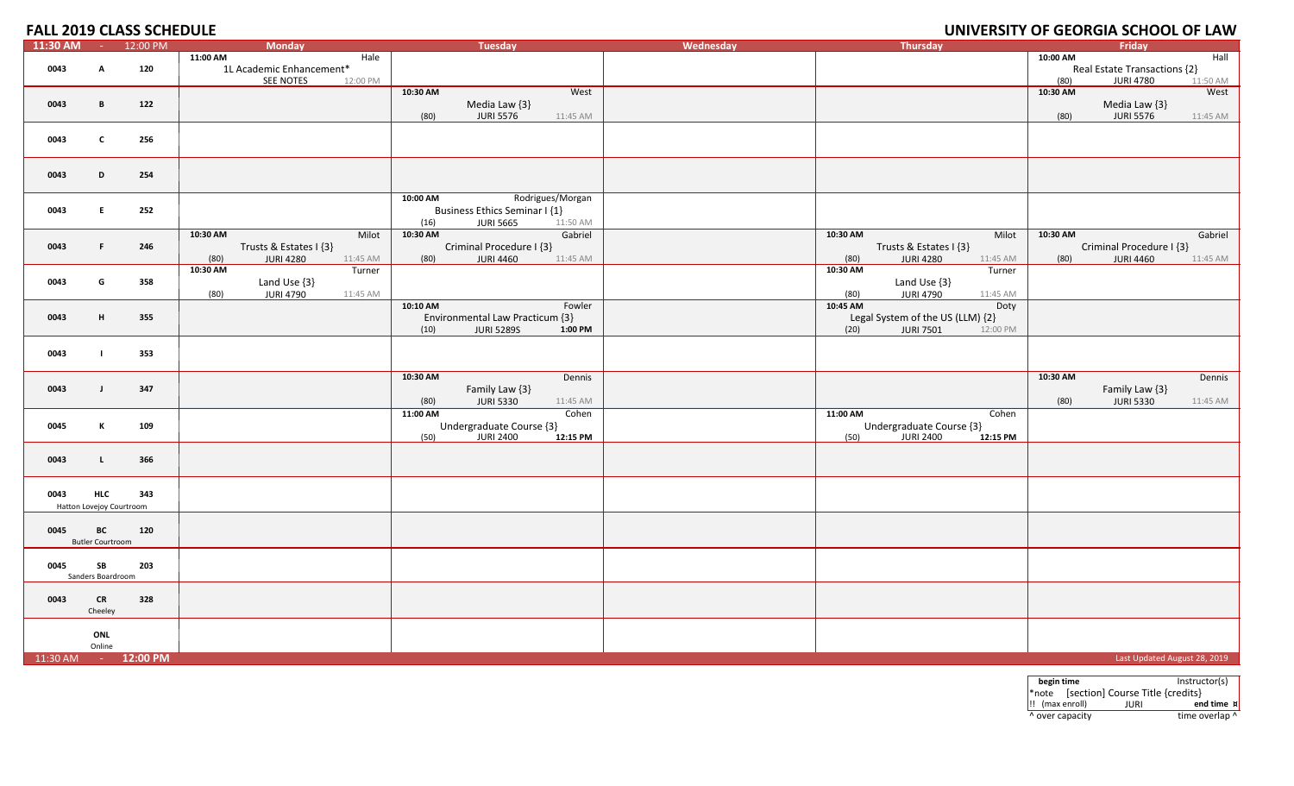# **UNIVERSITY OF GEORGIA SCHOOL OF LAW**

| 11:30 AM | $\alpha = 0.01$          | 12:00 PM | <b>Monday</b>                        | <b>Tuesday</b>                       | Wednesday | Thursday                             |          | Friday                       |
|----------|--------------------------|----------|--------------------------------------|--------------------------------------|-----------|--------------------------------------|----------|------------------------------|
|          |                          |          | 11:00 AM<br>Hale                     |                                      |           |                                      | 10:00 AM | Hall                         |
| 0043     | A                        | 120      | 1L Academic Enhancement*             |                                      |           |                                      |          | Real Estate Transactions {2} |
|          |                          |          | SEE NOTES<br>12:00 PM                |                                      |           |                                      | (80)     | <b>JURI 4780</b><br>11:50 AM |
|          |                          |          |                                      | 10:30 AM<br>West                     |           |                                      | 10:30 AM | West                         |
| 0043     | B                        | 122      |                                      | Media Law {3}                        |           |                                      |          | Media Law {3}                |
|          |                          |          |                                      | <b>JURI 5576</b><br>(80)<br>11:45 AM |           |                                      | (80)     | <b>JURI 5576</b><br>11:45 AM |
|          |                          |          |                                      |                                      |           |                                      |          |                              |
| 0043     | $\mathbf{c}$             | 256      |                                      |                                      |           |                                      |          |                              |
|          |                          |          |                                      |                                      |           |                                      |          |                              |
|          |                          |          |                                      |                                      |           |                                      |          |                              |
|          |                          |          |                                      |                                      |           |                                      |          |                              |
| 0043     | D                        | 254      |                                      |                                      |           |                                      |          |                              |
|          |                          |          |                                      |                                      |           |                                      |          |                              |
|          |                          |          |                                      | Rodrigues/Morgan<br>10:00 AM         |           |                                      |          |                              |
| 0043     | E                        | 252      |                                      | Business Ethics Seminar I {1}        |           |                                      |          |                              |
|          |                          |          |                                      | (16)<br><b>JURI 5665</b><br>11:50 AM |           |                                      |          |                              |
|          |                          |          | 10:30 AM<br>Milot                    | 10:30 AM<br>Gabriel                  |           | 10:30 AM<br>Milot                    | 10:30 AM | Gabriel                      |
| 0043     | F.                       | 246      | Trusts & Estates I {3}               | Criminal Procedure I {3}             |           | Trusts & Estates I {3}               |          | Criminal Procedure I {3}     |
|          |                          |          | <b>JURI 4280</b><br>11:45 AM<br>(80) | (80)<br><b>JURI 4460</b><br>11:45 AM |           | <b>JURI 4280</b><br>11:45 AM<br>(80) | (80)     | <b>JURI 4460</b><br>11:45 AM |
|          |                          |          | 10:30 AM<br>Turner                   |                                      |           | 10:30 AM<br>Turner                   |          |                              |
| 0043     | G                        | 358      | Land Use {3}                         |                                      |           | Land Use {3}                         |          |                              |
|          |                          |          | <b>JURI 4790</b><br>(80)<br>11:45 AM |                                      |           | (80)<br><b>JURI 4790</b><br>11:45 AM |          |                              |
|          |                          |          |                                      | 10:10 AM<br>Fowler                   |           | 10:45 AM<br>Doty                     |          |                              |
|          |                          |          |                                      |                                      |           |                                      |          |                              |
| 0043     | H                        | 355      |                                      | Environmental Law Practicum {3}      |           | Legal System of the US (LLM) {2}     |          |                              |
|          |                          |          |                                      | <b>JURI 5289S</b><br>1:00 PM<br>(10) |           | <b>JURI 7501</b><br>12:00 PM<br>(20) |          |                              |
|          |                          |          |                                      |                                      |           |                                      |          |                              |
| 0043     | $\blacksquare$           | 353      |                                      |                                      |           |                                      |          |                              |
|          |                          |          |                                      |                                      |           |                                      |          |                              |
|          |                          |          |                                      | 10:30 AM<br>Dennis                   |           |                                      | 10:30 AM | Dennis                       |
| 0043     | $\mathbf{J}$             | 347      |                                      | Family Law {3}                       |           |                                      |          | Family Law {3}               |
|          |                          |          |                                      | <b>JURI 5330</b><br>(80)<br>11:45 AM |           |                                      | (80)     | <b>JURI 5330</b><br>11:45 AM |
|          |                          |          |                                      | 11:00 AM<br>Cohen                    |           | 11:00 AM<br>Cohen                    |          |                              |
| 0045     | $\mathbf{K}$             | 109      |                                      | Undergraduate Course {3}             |           | Undergraduate Course {3}             |          |                              |
|          |                          |          |                                      | <b>JURI 2400</b><br>(50)<br>12:15 PM |           | <b>JURI 2400</b><br>(50)<br>12:15 PM |          |                              |
|          |                          |          |                                      |                                      |           |                                      |          |                              |
| 0043     | L.                       | 366      |                                      |                                      |           |                                      |          |                              |
|          |                          |          |                                      |                                      |           |                                      |          |                              |
|          |                          |          |                                      |                                      |           |                                      |          |                              |
| 0043     | <b>HLC</b>               | 343      |                                      |                                      |           |                                      |          |                              |
|          | Hatton Lovejoy Courtroom |          |                                      |                                      |           |                                      |          |                              |
|          |                          |          |                                      |                                      |           |                                      |          |                              |
| 0045     | BC                       | 120      |                                      |                                      |           |                                      |          |                              |
|          | <b>Butler Courtroom</b>  |          |                                      |                                      |           |                                      |          |                              |
|          |                          |          |                                      |                                      |           |                                      |          |                              |
| 0045     | SB                       | 203      |                                      |                                      |           |                                      |          |                              |
|          | Sanders Boardroom        |          |                                      |                                      |           |                                      |          |                              |
|          |                          |          |                                      |                                      |           |                                      |          |                              |
|          |                          |          |                                      |                                      |           |                                      |          |                              |
| 0043     | ${\sf CR}$               | 328      |                                      |                                      |           |                                      |          |                              |
|          | Cheeley                  |          |                                      |                                      |           |                                      |          |                              |
|          |                          |          |                                      |                                      |           |                                      |          |                              |
|          | ONL                      |          |                                      |                                      |           |                                      |          |                              |
|          | Online                   |          |                                      |                                      |           |                                      |          |                              |
| 11:30 AM | <b>Contractor</b>        | 12:00 PM |                                      |                                      |           |                                      |          | Last Updated August 28, 2019 |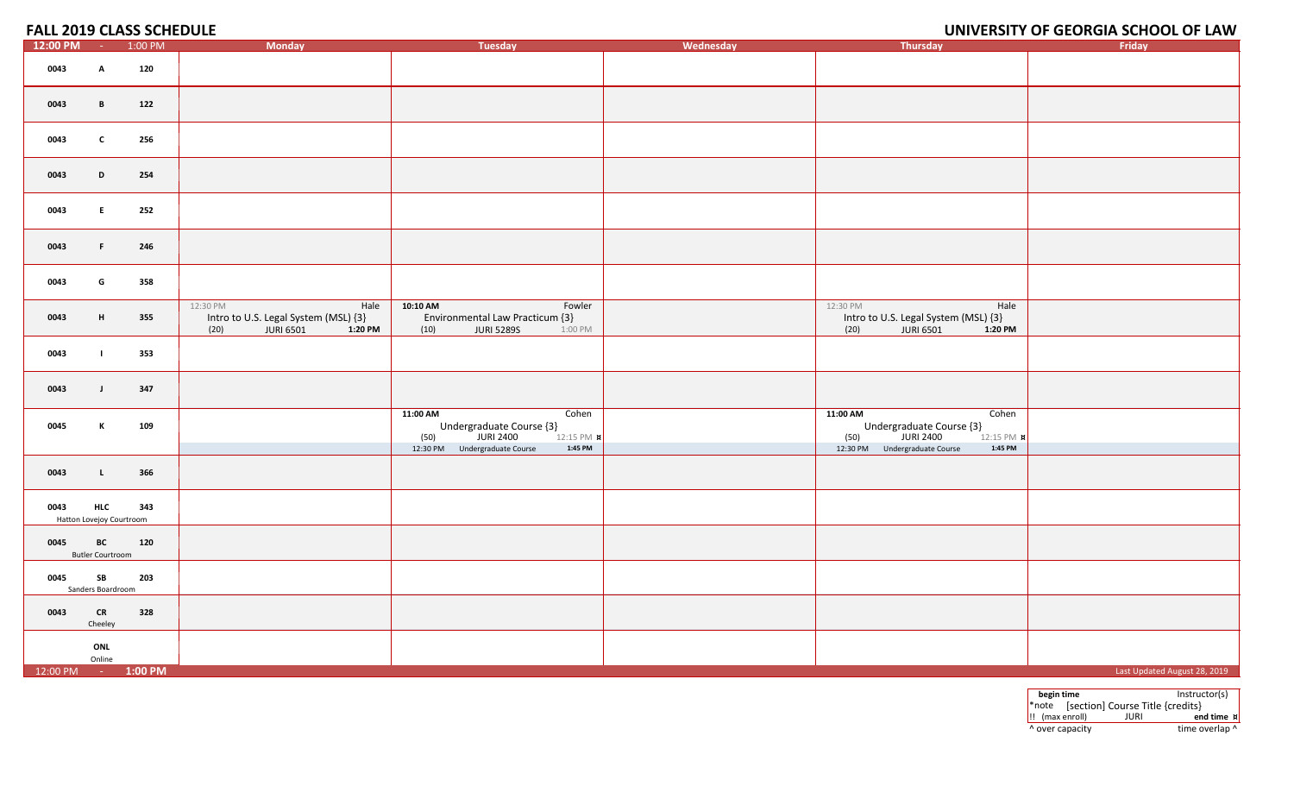## **UNIVERSITY OF GEORGIA SCHOOL OF LAW**

| 12:00 PM           | $\sim 100$                             | 1:00 PM | <b>Monday</b>                                                                                   | <b>Tuesday</b>                                                                                 | Wednesday | Thursday                                                                                        | Friday                       |
|--------------------|----------------------------------------|---------|-------------------------------------------------------------------------------------------------|------------------------------------------------------------------------------------------------|-----------|-------------------------------------------------------------------------------------------------|------------------------------|
| 0043               | A                                      | 120     |                                                                                                 |                                                                                                |           |                                                                                                 |                              |
| 0043               | B                                      | 122     |                                                                                                 |                                                                                                |           |                                                                                                 |                              |
| 0043               | $\mathbf{c}$                           | 256     |                                                                                                 |                                                                                                |           |                                                                                                 |                              |
| 0043               | D                                      | 254     |                                                                                                 |                                                                                                |           |                                                                                                 |                              |
| 0043               | $E_{\perp}$                            | 252     |                                                                                                 |                                                                                                |           |                                                                                                 |                              |
| 0043               | F.                                     | 246     |                                                                                                 |                                                                                                |           |                                                                                                 |                              |
| 0043               | G                                      | 358     |                                                                                                 |                                                                                                |           |                                                                                                 |                              |
| 0043               | H                                      | 355     | 12:30 PM<br>Hale<br>Intro to U.S. Legal System (MSL) {3}<br><b>JURI 6501</b><br>(20)<br>1:20 PM | 10:10 AM<br>Fowler<br>Environmental Law Practicum {3}<br><b>JURI 5289S</b><br>(10)<br>1:00 PM  |           | 12:30 PM<br>Hale<br>Intro to U.S. Legal System (MSL) {3}<br>(20)<br><b>JURI 6501</b><br>1:20 PM |                              |
| 0043               | $\mathbf{L}$                           | 353     |                                                                                                 |                                                                                                |           |                                                                                                 |                              |
| 0043               | $\mathbf{J}$                           | 347     |                                                                                                 |                                                                                                |           |                                                                                                 |                              |
| 0045               | К                                      | 109     |                                                                                                 | 11:00 AM<br>Cohen<br>Undergraduate Course $\{3\}$<br>1. JURI 2400<br>(50)<br>12:15 PM <b>x</b> |           | 11:00 AM<br>Cohen<br>Undergraduate Course $\{3\}$<br>JURI 2400<br>(50)<br>12:15 PM <b>x</b>     |                              |
|                    |                                        |         |                                                                                                 | 12:30 PM Undergraduate Course<br>1:45 PM                                                       |           | 1:45 PM<br>12:30 PM Undergraduate Course                                                        |                              |
| 0043               | $\mathbf{L}$                           | 366     |                                                                                                 |                                                                                                |           |                                                                                                 |                              |
| 0043               | <b>HLC</b><br>Hatton Lovejoy Courtroom | 343     |                                                                                                 |                                                                                                |           |                                                                                                 |                              |
| 0045               | BC<br><b>Butler Courtroom</b>          | 120     |                                                                                                 |                                                                                                |           |                                                                                                 |                              |
| 0045               | SB<br>Sanders Boardroom                | 203     |                                                                                                 |                                                                                                |           |                                                                                                 |                              |
| 0043               | CR<br>Cheeley                          | 328     |                                                                                                 |                                                                                                |           |                                                                                                 |                              |
|                    | ONL<br>Online                          |         |                                                                                                 |                                                                                                |           |                                                                                                 |                              |
| 12:00 PM - 1:00 PM |                                        |         |                                                                                                 |                                                                                                |           |                                                                                                 | Last Updated August 28, 2019 |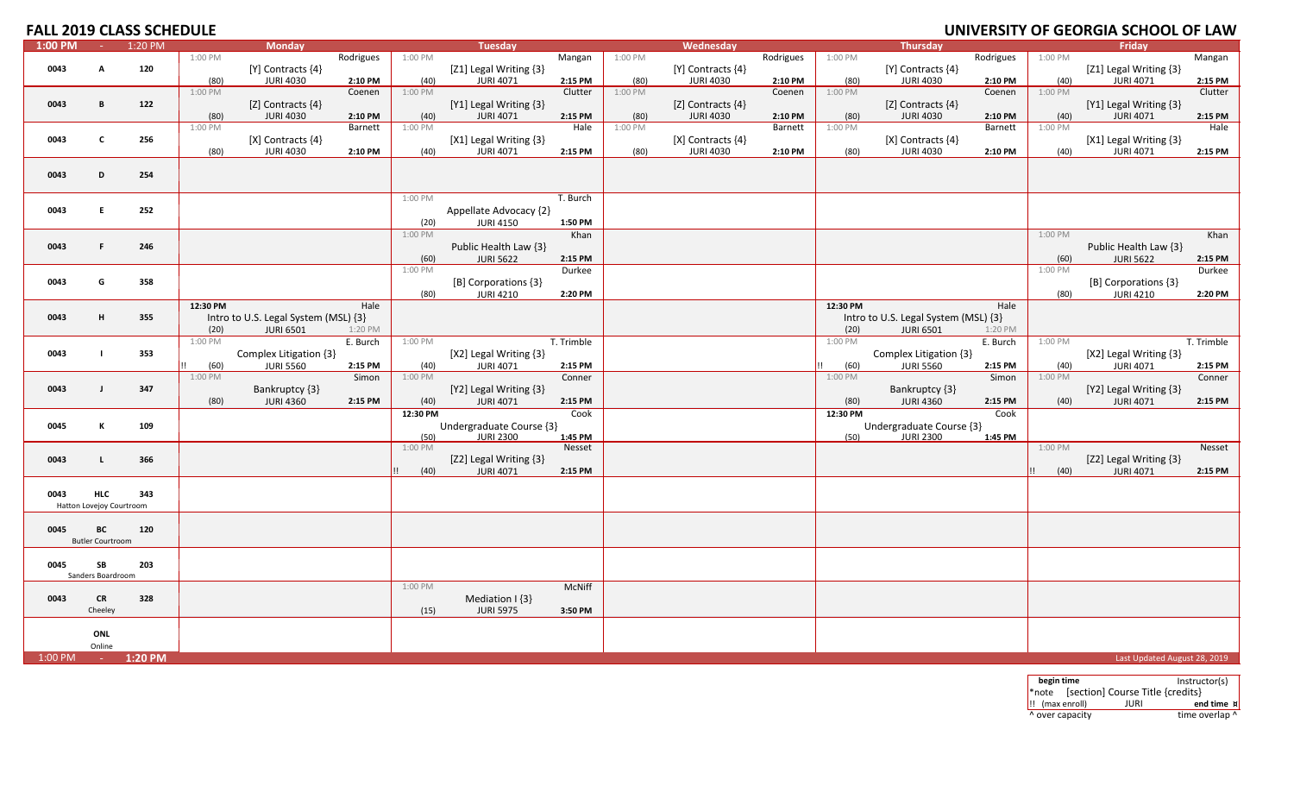# **FALL 2019 CLASS SCHEDULE**

| 1:00 PM | $\sim 10^{-1}$           | 1:20 PM |          | <b>Monday</b>                        |           |          | Tuesday                  |            |         | Wednesday               |           |          | <b>Thursday</b>                      |           |         | Friday                       |            |
|---------|--------------------------|---------|----------|--------------------------------------|-----------|----------|--------------------------|------------|---------|-------------------------|-----------|----------|--------------------------------------|-----------|---------|------------------------------|------------|
|         |                          |         | 1:00 PM  |                                      | Rodrigues | 1:00 PM  |                          | Mangan     | 1:00 PM |                         | Rodrigues | 1:00 PM  |                                      | Rodrigues | 1:00 PM |                              | Mangan     |
| 0043    | A                        | 120     |          | [Y] Contracts {4}                    |           |          | [Z1] Legal Writing {3}   |            |         | [Y] Contracts {4}       |           |          | $[Y]$ Contracts $\{4\}$              |           |         | [Z1] Legal Writing {3}       |            |
|         |                          |         |          |                                      |           |          |                          |            |         |                         |           |          |                                      |           |         |                              |            |
|         |                          |         | (80)     | <b>JURI 4030</b>                     | 2:10 PM   | (40)     | <b>JURI 4071</b>         | 2:15 PM    | (80)    | <b>JURI 4030</b>        | 2:10 PM   | (80)     | <b>JURI 4030</b>                     | 2:10 PM   | (40)    | <b>JURI 4071</b>             | 2:15 PM    |
|         |                          |         | 1:00 PM  |                                      | Coenen    | 1:00 PM  |                          | Clutter    | 1:00 PM |                         | Coenen    | 1:00 PM  |                                      | Coenen    | 1:00 PM |                              | Clutter    |
| 0043    | $\overline{B}$           | 122     |          | [Z] Contracts {4}                    |           |          | [Y1] Legal Writing {3}   |            |         | [Z] Contracts {4}       |           |          | [Z] Contracts {4}                    |           |         | [Y1] Legal Writing {3}       |            |
|         |                          |         | (80)     | <b>JURI 4030</b>                     | 2:10 PM   | (40)     | <b>JURI 4071</b>         | 2:15 PM    | (80)    | <b>JURI 4030</b>        | 2:10 PM   | (80)     | <b>JURI 4030</b>                     | 2:10 PM   | (40)    | <b>JURI 4071</b>             | 2:15 PM    |
|         |                          |         |          |                                      |           |          |                          |            |         |                         |           |          |                                      |           |         |                              |            |
|         |                          |         | 1:00 PM  |                                      | Barnett   | 1:00 PM  |                          | Hale       | 1:00 PM |                         | Barnett   | 1:00 PM  |                                      | Barnett   | 1:00 PM |                              | Hale       |
| 0043    | C                        | 256     |          | $[X]$ Contracts $\{4\}$              |           |          | [X1] Legal Writing {3}   |            |         | $[X]$ Contracts $\{4\}$ |           |          | $[X]$ Contracts $\{4\}$              |           |         | [X1] Legal Writing {3}       |            |
|         |                          |         | (80)     | <b>JURI 4030</b>                     | 2:10 PM   | (40)     | <b>JURI 4071</b>         | 2:15 PM    | (80)    | <b>JURI 4030</b>        | 2:10 PM   | (80)     | <b>JURI 4030</b>                     | 2:10 PM   | (40)    | <b>JURI 4071</b>             | 2:15 PM    |
|         |                          |         |          |                                      |           |          |                          |            |         |                         |           |          |                                      |           |         |                              |            |
|         |                          |         |          |                                      |           |          |                          |            |         |                         |           |          |                                      |           |         |                              |            |
| 0043    | D                        | 254     |          |                                      |           |          |                          |            |         |                         |           |          |                                      |           |         |                              |            |
|         |                          |         |          |                                      |           |          |                          |            |         |                         |           |          |                                      |           |         |                              |            |
|         |                          |         |          |                                      |           | 1:00 PM  |                          | T. Burch   |         |                         |           |          |                                      |           |         |                              |            |
| 0043    | E.                       | 252     |          |                                      |           |          | Appellate Advocacy {2}   |            |         |                         |           |          |                                      |           |         |                              |            |
|         |                          |         |          |                                      |           |          |                          |            |         |                         |           |          |                                      |           |         |                              |            |
|         |                          |         |          |                                      |           | (20)     | <b>JURI 4150</b>         | 1:50 PM    |         |                         |           |          |                                      |           |         |                              |            |
|         |                          |         |          |                                      |           | 1:00 PM  |                          | Khan       |         |                         |           |          |                                      |           | 1:00 PM |                              | Khan       |
| 0043    | F                        | 246     |          |                                      |           |          | Public Health Law {3}    |            |         |                         |           |          |                                      |           |         | Public Health Law {3}        |            |
|         |                          |         |          |                                      |           | (60)     | <b>JURI 5622</b>         | 2:15 PM    |         |                         |           |          |                                      |           | (60)    | <b>JURI 5622</b>             | 2:15 PM    |
|         |                          |         |          |                                      |           |          |                          |            |         |                         |           |          |                                      |           |         |                              |            |
|         |                          |         |          |                                      |           | 1:00 PM  |                          | Durkee     |         |                         |           |          |                                      |           | 1:00 PM |                              | Durkee     |
| 0043    | G                        | 358     |          |                                      |           |          | [B] Corporations {3}     |            |         |                         |           |          |                                      |           |         | [B] Corporations {3}         |            |
|         |                          |         |          |                                      |           | (80)     | <b>JURI 4210</b>         | 2:20 PM    |         |                         |           |          |                                      |           | (80)    | <b>JURI 4210</b>             | 2:20 PM    |
|         |                          |         | 12:30 PM |                                      | Hale      |          |                          |            |         |                         |           | 12:30 PM |                                      | Hale      |         |                              |            |
|         |                          |         |          |                                      |           |          |                          |            |         |                         |           |          |                                      |           |         |                              |            |
| 0043    | н                        | 355     |          | Intro to U.S. Legal System (MSL) {3} |           |          |                          |            |         |                         |           |          | Intro to U.S. Legal System (MSL) {3} |           |         |                              |            |
|         |                          |         | (20)     | <b>JURI 6501</b>                     | 1:20 PM   |          |                          |            |         |                         |           | (20)     | <b>JURI 6501</b>                     | 1:20 PM   |         |                              |            |
|         |                          |         | 1:00 PM  |                                      | E. Burch  | 1:00 PM  |                          | T. Trimble |         |                         |           | 1:00 PM  |                                      | E. Burch  | 1:00 PM |                              | T. Trimble |
| 0043    |                          | 353     |          | Complex Litigation {3}               |           |          |                          |            |         |                         |           |          | Complex Litigation {3}               |           |         |                              |            |
|         |                          |         |          |                                      |           |          | [X2] Legal Writing {3}   |            |         |                         |           |          |                                      |           |         | [X2] Legal Writing {3}       |            |
|         |                          |         | (60)     | <b>JURI 5560</b>                     | 2:15 PM   | (40)     | <b>JURI 4071</b>         | 2:15 PM    |         |                         |           | (60)     | <b>JURI 5560</b>                     | 2:15 PM   | (40)    | <b>JURI 4071</b>             | 2:15 PM    |
|         |                          |         | 1:00 PM  |                                      | Simon     | 1:00 PM  |                          | Conner     |         |                         |           | 1:00 PM  |                                      | Simon     | 1:00 PM |                              | Conner     |
| 0043    | $\blacksquare$           | 347     |          | Bankruptcy {3}                       |           |          | [Y2] Legal Writing {3}   |            |         |                         |           |          | Bankruptcy {3}                       |           |         | [Y2] Legal Writing {3}       |            |
|         |                          |         | (80)     | <b>JURI 4360</b>                     | 2:15 PM   | (40)     | <b>JURI 4071</b>         | 2:15 PM    |         |                         |           | (80)     | <b>JURI 4360</b>                     | 2:15 PM   | (40)    | <b>JURI 4071</b>             | 2:15 PM    |
|         |                          |         |          |                                      |           |          |                          |            |         |                         |           |          |                                      |           |         |                              |            |
|         |                          |         |          |                                      |           | 12:30 PM |                          | Cook       |         |                         |           | 12:30 PM |                                      | Cook      |         |                              |            |
| 0045    | К                        | 109     |          |                                      |           |          | Undergraduate Course {3} |            |         |                         |           |          | Undergraduate Course {3}             |           |         |                              |            |
|         |                          |         |          |                                      |           | (50)     | <b>JURI 2300</b>         | 1:45 PM    |         |                         |           | (50)     | <b>JURI 2300</b>                     | 1:45 PM   |         |                              |            |
|         |                          |         |          |                                      |           | 1:00 PM  |                          | Nesset     |         |                         |           |          |                                      |           | 1:00 PM |                              | Nesset     |
| 0043    | L.                       | 366     |          |                                      |           |          | [Z2] Legal Writing {3}   |            |         |                         |           |          |                                      |           |         | [Z2] Legal Writing {3}       |            |
|         |                          |         |          |                                      |           |          |                          |            |         |                         |           |          |                                      |           |         |                              |            |
|         |                          |         |          |                                      |           | (40)     | <b>JURI 4071</b>         | 2:15 PM    |         |                         |           |          |                                      |           | (40)    | <b>JURI 4071</b>             | 2:15 PM    |
|         |                          |         |          |                                      |           |          |                          |            |         |                         |           |          |                                      |           |         |                              |            |
| 0043    | <b>HLC</b>               | 343     |          |                                      |           |          |                          |            |         |                         |           |          |                                      |           |         |                              |            |
|         | Hatton Lovejoy Courtroom |         |          |                                      |           |          |                          |            |         |                         |           |          |                                      |           |         |                              |            |
|         |                          |         |          |                                      |           |          |                          |            |         |                         |           |          |                                      |           |         |                              |            |
|         |                          |         |          |                                      |           |          |                          |            |         |                         |           |          |                                      |           |         |                              |            |
| 0045    | ВC                       | 120     |          |                                      |           |          |                          |            |         |                         |           |          |                                      |           |         |                              |            |
|         | <b>Butler Courtroom</b>  |         |          |                                      |           |          |                          |            |         |                         |           |          |                                      |           |         |                              |            |
|         |                          |         |          |                                      |           |          |                          |            |         |                         |           |          |                                      |           |         |                              |            |
| 0045    | SB                       | 203     |          |                                      |           |          |                          |            |         |                         |           |          |                                      |           |         |                              |            |
|         | Sanders Boardroom        |         |          |                                      |           |          |                          |            |         |                         |           |          |                                      |           |         |                              |            |
|         |                          |         |          |                                      |           |          |                          |            |         |                         |           |          |                                      |           |         |                              |            |
|         |                          |         |          |                                      |           | 1:00 PM  |                          | McNiff     |         |                         |           |          |                                      |           |         |                              |            |
| 0043    | <b>CR</b>                | 328     |          |                                      |           |          | Mediation $\{3\}$        |            |         |                         |           |          |                                      |           |         |                              |            |
|         | Cheeley                  |         |          |                                      |           | (15)     | <b>JURI 5975</b>         | 3:50 PM    |         |                         |           |          |                                      |           |         |                              |            |
|         |                          |         |          |                                      |           |          |                          |            |         |                         |           |          |                                      |           |         |                              |            |
|         |                          |         |          |                                      |           |          |                          |            |         |                         |           |          |                                      |           |         |                              |            |
|         | ONL                      |         |          |                                      |           |          |                          |            |         |                         |           |          |                                      |           |         |                              |            |
|         | Online                   |         |          |                                      |           |          |                          |            |         |                         |           |          |                                      |           |         |                              |            |
| 1:00 PM |                          | 1:20 PM |          |                                      |           |          |                          |            |         |                         |           |          |                                      |           |         | Last Updated August 28, 2019 |            |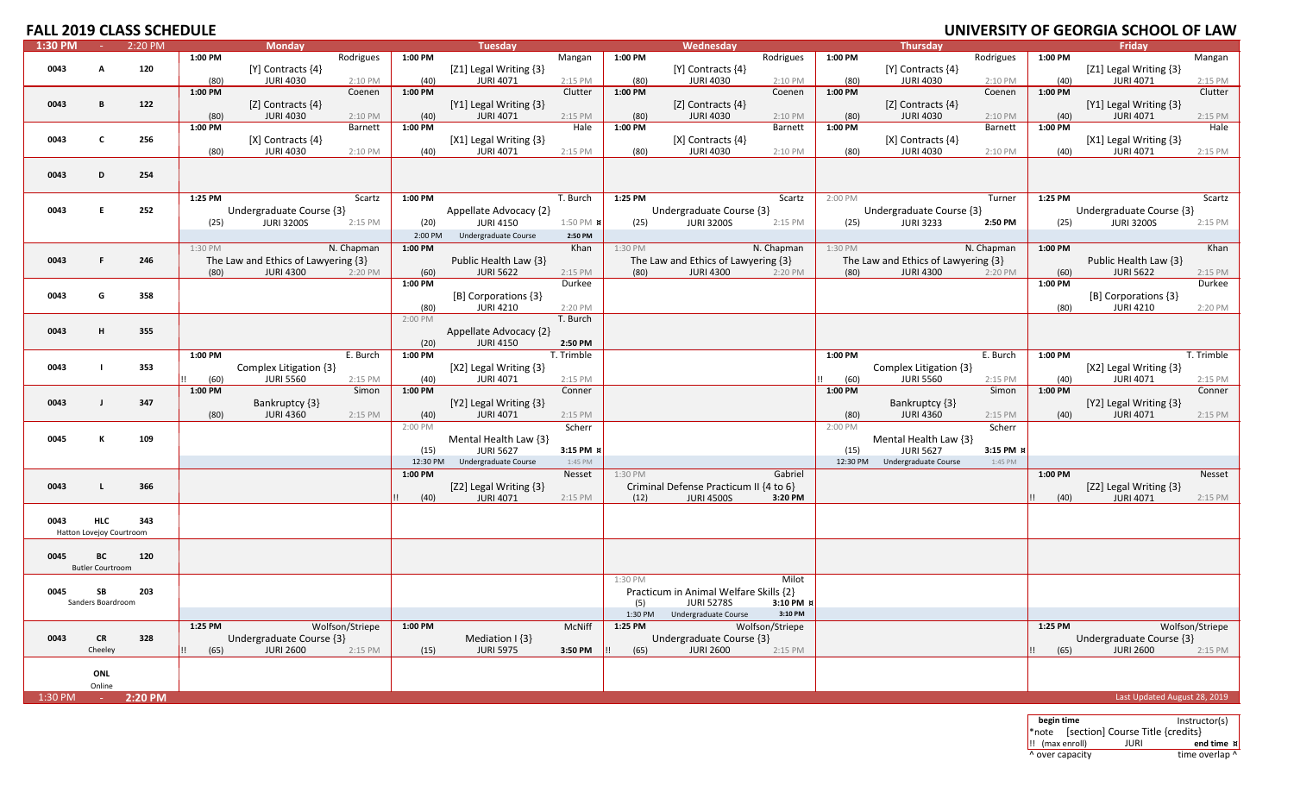# **UNIVERSITY OF GEORGIA SCHOOL OF LAW**

| $1:30$ PM | $\sim$ $-$               | 2:20 PM |         | <b>Monday</b>                       |                 |                      | <b>Tuesday</b>         |                  |                      | Wednesday                              |                 |          | <b>Thursday</b>                     |            |         | Friday                       |                 |
|-----------|--------------------------|---------|---------|-------------------------------------|-----------------|----------------------|------------------------|------------------|----------------------|----------------------------------------|-----------------|----------|-------------------------------------|------------|---------|------------------------------|-----------------|
|           |                          |         | 1:00 PM |                                     | Rodrigues       | 1:00 PM              |                        | Mangan           | 1:00 PM              |                                        | Rodrigues       | 1:00 PM  |                                     | Rodrigues  | 1:00 PM |                              | Mangan          |
| 0043      | A                        | 120     |         | [Y] Contracts {4}                   |                 |                      | [Z1] Legal Writing {3} |                  |                      | [Y] Contracts {4}                      |                 |          | $[Y]$ Contracts $\{4\}$             |            |         | [Z1] Legal Writing {3}       |                 |
|           |                          |         | (80)    | <b>JURI 4030</b>                    | 2:10 PM         | (40)                 | <b>JURI 4071</b>       | 2:15 PM          | (80)                 | <b>JURI 4030</b>                       | 2:10 PM         | (80)     | <b>JURI 4030</b>                    | 2:10 PM    | (40)    | <b>JURI 4071</b>             | 2:15 PM         |
|           |                          |         | 1:00 PM |                                     | Coenen          | 1:00 PM              |                        | Clutter          | 1:00 PM              |                                        | Coenen          | 1:00 PM  |                                     | Coenen     | 1:00 PM |                              | Clutter         |
| 0043      | B                        | 122     |         | [Z] Contracts {4}                   |                 |                      | [Y1] Legal Writing {3} |                  |                      | [Z] Contracts {4}                      |                 |          | [Z] Contracts {4}                   |            |         | [Y1] Legal Writing {3}       |                 |
|           |                          |         | (80)    | <b>JURI 4030</b>                    | 2:10 PM         | (40)                 | <b>JURI 4071</b>       | 2:15 PM          | (80)                 | <b>JURI 4030</b>                       | 2:10 PM         | (80)     | <b>JURI 4030</b>                    | 2:10 PM    | (40)    | <b>JURI 4071</b>             | 2:15 PM         |
|           |                          |         | 1:00 PM |                                     | Barnett         | 1:00 PM              |                        | Hale             | 1:00 PM              |                                        | Barnett         | 1:00 PM  |                                     | Barnett    | 1:00 PM |                              | Hale            |
| 0043      | $\mathbf{C}$             | 256     |         | [X] Contracts {4}                   |                 |                      | [X1] Legal Writing {3} |                  |                      | [X] Contracts {4}                      |                 |          | [X] Contracts {4}                   |            |         | [X1] Legal Writing {3}       |                 |
|           |                          |         | (80)    | <b>JURI 4030</b>                    | 2:10 PM         | (40)                 | <b>JURI 4071</b>       | 2:15 PM          | (80)                 | <b>JURI 4030</b>                       | 2:10 PM         | (80)     | <b>JURI 4030</b>                    | 2:10 PM    | (40)    | <b>JURI 4071</b>             | 2:15 PM         |
|           |                          |         |         |                                     |                 |                      |                        |                  |                      |                                        |                 |          |                                     |            |         |                              |                 |
| 0043      | D                        | 254     |         |                                     |                 |                      |                        |                  |                      |                                        |                 |          |                                     |            |         |                              |                 |
|           |                          |         |         |                                     |                 |                      |                        |                  |                      |                                        |                 |          |                                     |            |         |                              |                 |
|           |                          |         | 1:25 PM |                                     | Scartz          | 1:00 PM              |                        | T. Burch         | 1:25 PM              |                                        | Scartz          | 2:00 PM  |                                     | Turner     | 1:25 PM |                              | Scartz          |
| 0043      | E                        | 252     |         | Undergraduate Course {3}            |                 |                      | Appellate Advocacy {2} |                  |                      | Undergraduate Course {3}               |                 |          | Undergraduate Course {3}            |            |         | Undergraduate Course {3}     |                 |
|           |                          |         | (25)    | <b>JURI 3200S</b>                   | 2:15 PM         | (20)                 | <b>JURI 4150</b>       | 1:50 PM <b>x</b> | (25)                 | <b>JURI 3200S</b>                      | 2:15 PM         | (25)     | <b>JURI 3233</b>                    | 2:50 PM    | (25)    | <b>JURI 3200S</b>            | 2:15 PM         |
|           |                          |         |         |                                     |                 |                      |                        | 2:50 PM          |                      |                                        |                 |          |                                     |            |         |                              |                 |
|           |                          |         |         |                                     |                 | 2:00 PM              | Undergraduate Course   |                  |                      |                                        |                 |          |                                     |            |         |                              |                 |
|           |                          |         | 1:30 PM |                                     | N. Chapman      | 1:00 PM              |                        | Khan             | 1:30 PM              |                                        | N. Chapman      | 1:30 PM  |                                     | N. Chapman | 1:00 PM |                              | Khan            |
| 0043      | F.                       | 246     |         | The Law and Ethics of Lawyering {3} |                 |                      | Public Health Law {3}  |                  |                      | The Law and Ethics of Lawyering {3}    |                 |          | The Law and Ethics of Lawyering {3} |            |         | Public Health Law {3}        |                 |
|           |                          |         | (80)    | <b>JURI 4300</b>                    | 2:20 PM         | (60)                 | <b>JURI 5622</b>       | 2:15 PM          | (80)                 | <b>JURI 4300</b>                       | 2:20 PM         | (80)     | <b>JURI 4300</b>                    | 2:20 PM    | (60)    | <b>JURI 5622</b>             | 2:15 PM         |
|           |                          |         |         |                                     |                 | 1:00 PM              |                        | Durkee           |                      |                                        |                 |          |                                     |            | 1:00 PM |                              | Durkee          |
| 0043      | G                        | 358     |         |                                     |                 |                      | [B] Corporations {3}   |                  |                      |                                        |                 |          |                                     |            |         | [B] Corporations {3}         |                 |
|           |                          |         |         |                                     |                 | (80)                 | <b>JURI 4210</b>       | 2:20 PM          |                      |                                        |                 |          |                                     |            | (80)    | <b>JURI 4210</b>             | 2:20 PM         |
|           |                          |         |         |                                     |                 | 2:00 PM              |                        | T. Burch         |                      |                                        |                 |          |                                     |            |         |                              |                 |
| 0043      | H                        | 355     |         |                                     |                 |                      | Appellate Advocacy {2} |                  |                      |                                        |                 |          |                                     |            |         |                              |                 |
|           |                          |         |         |                                     |                 | (20)                 | <b>JURI 4150</b>       | 2:50 PM          |                      |                                        |                 |          |                                     |            |         |                              |                 |
|           |                          |         | 1:00 PM |                                     | E. Burch        | 1:00 PM              |                        | T. Trimble       |                      |                                        |                 | 1:00 PM  |                                     | E. Burch   | 1:00 PM |                              | T. Trimble      |
| 0043      | $\mathbf{I}$             | 353     |         | Complex Litigation {3}              |                 |                      | [X2] Legal Writing {3} |                  |                      |                                        |                 |          | Complex Litigation {3}              |            |         | [X2] Legal Writing {3}       |                 |
|           |                          |         | (60)    | <b>JURI 5560</b>                    | 2:15 PM         | (40)                 | <b>JURI 4071</b>       | 2:15 PM          |                      |                                        |                 | (60)     | <b>JURI 5560</b>                    | 2:15 PM    | (40)    | <b>JURI 4071</b>             | 2:15 PM         |
|           |                          |         | 1:00 PM |                                     | Simon           | 1:00 PM              |                        | Conner           |                      |                                        |                 | 1:00 PM  |                                     | Simon      | 1:00 PM |                              | Conner          |
| 0043      | $\mathbf{I}$             | 347     |         | Bankruptcy {3}                      |                 |                      | [Y2] Legal Writing {3} |                  |                      |                                        |                 |          | Bankruptcy {3}                      |            |         | [Y2] Legal Writing {3}       |                 |
|           |                          |         | (80)    | <b>JURI 4360</b>                    | 2:15 PM         | (40)                 | <b>JURI 4071</b>       | 2:15 PM          |                      |                                        |                 | (80)     | <b>JURI 4360</b>                    | 2:15 PM    | (40)    | <b>JURI 4071</b>             | 2:15 PM         |
|           |                          |         |         |                                     |                 | 2:00 PM              |                        | Scherr           |                      |                                        |                 | 2:00 PM  |                                     | Scherr     |         |                              |                 |
| 0045      | к                        | 109     |         |                                     |                 |                      | Mental Health Law {3}  |                  |                      |                                        |                 |          | Mental Health Law {3}               |            |         |                              |                 |
|           |                          |         |         |                                     |                 | (15)                 | <b>JURI 5627</b>       | 3:15 PM }        |                      |                                        |                 | (15)     | <b>JURI 5627</b>                    | 3:15 PM x  |         |                              |                 |
|           |                          |         |         |                                     |                 | 12:30 PM             | Undergraduate Course   | 1:45 PM          |                      |                                        |                 | 12:30 PM | Undergraduate Course                | 1:45 PM    |         |                              |                 |
|           |                          |         |         |                                     |                 | 1:00 PM              |                        | Nesset           | $1:30 P\overline{M}$ |                                        | Gabriel         |          |                                     |            | 1:00 PM |                              | Nesset          |
| 0043      | L                        | 366     |         |                                     |                 |                      | [Z2] Legal Writing {3} |                  |                      | Criminal Defense Practicum II {4 to 6} |                 |          |                                     |            |         | [Z2] Legal Writing {3}       |                 |
|           |                          |         |         |                                     |                 | (40)<br>$\mathbf{H}$ | <b>JURI 4071</b>       | 2:15 PM          | (12)                 | <b>JURI 4500S</b>                      | 3:20 PM         |          |                                     |            | (40)    | <b>JURI 4071</b>             | 2:15 PM         |
|           |                          |         |         |                                     |                 |                      |                        |                  |                      |                                        |                 |          |                                     |            |         |                              |                 |
| 0043      | <b>HLC</b>               | 343     |         |                                     |                 |                      |                        |                  |                      |                                        |                 |          |                                     |            |         |                              |                 |
|           | Hatton Lovejoy Courtroom |         |         |                                     |                 |                      |                        |                  |                      |                                        |                 |          |                                     |            |         |                              |                 |
|           |                          |         |         |                                     |                 |                      |                        |                  |                      |                                        |                 |          |                                     |            |         |                              |                 |
| 0045      | ВC                       | 120     |         |                                     |                 |                      |                        |                  |                      |                                        |                 |          |                                     |            |         |                              |                 |
|           | <b>Butler Courtroom</b>  |         |         |                                     |                 |                      |                        |                  |                      |                                        |                 |          |                                     |            |         |                              |                 |
|           |                          |         |         |                                     |                 |                      |                        |                  | 1:30 PM              |                                        | Milot           |          |                                     |            |         |                              |                 |
| 0045      | SB                       | 203     |         |                                     |                 |                      |                        |                  |                      | Practicum in Animal Welfare Skills {2} |                 |          |                                     |            |         |                              |                 |
|           | Sanders Boardroom        |         |         |                                     |                 |                      |                        |                  | (5)                  | <b>JURI 5278S</b>                      | 3:10 PM x       |          |                                     |            |         |                              |                 |
|           |                          |         |         |                                     |                 |                      |                        |                  | 1:30 PM              | Undergraduate Course                   | 3:10 PM         |          |                                     |            |         |                              |                 |
|           |                          |         | 1:25 PM |                                     | Wolfson/Striepe | 1:00 PM              |                        | McNiff           | 1:25 PM              |                                        | Wolfson/Striepe |          |                                     |            | 1:25 PM |                              | Wolfson/Striepe |
| 0043      | <b>CR</b>                | 328     |         | Undergraduate Course {3}            |                 |                      | Mediation I {3}        |                  |                      | Undergraduate Course {3}               |                 |          |                                     |            |         | Undergraduate Course {3}     |                 |
|           | Cheeley                  |         | (65)    | <b>JURI 2600</b>                    | 2:15 PM         | (15)                 | <b>JURI 5975</b>       | 3:50 PM          | (65)                 | <b>JURI 2600</b>                       | 2:15 PM         |          |                                     |            | (65)    | <b>JURI 2600</b>             | 2:15 PM         |
|           |                          |         |         |                                     |                 |                      |                        |                  |                      |                                        |                 |          |                                     |            |         |                              |                 |
|           | ONL                      |         |         |                                     |                 |                      |                        |                  |                      |                                        |                 |          |                                     |            |         |                              |                 |
|           | Online                   |         |         |                                     |                 |                      |                        |                  |                      |                                        |                 |          |                                     |            |         |                              |                 |
| 1:30 PM   | <b>Carl Co</b>           | 2:20 PM |         |                                     |                 |                      |                        |                  |                      |                                        |                 |          |                                     |            |         | Last Updated August 28, 2019 |                 |
|           |                          |         |         |                                     |                 |                      |                        |                  |                      |                                        |                 |          |                                     |            |         |                              |                 |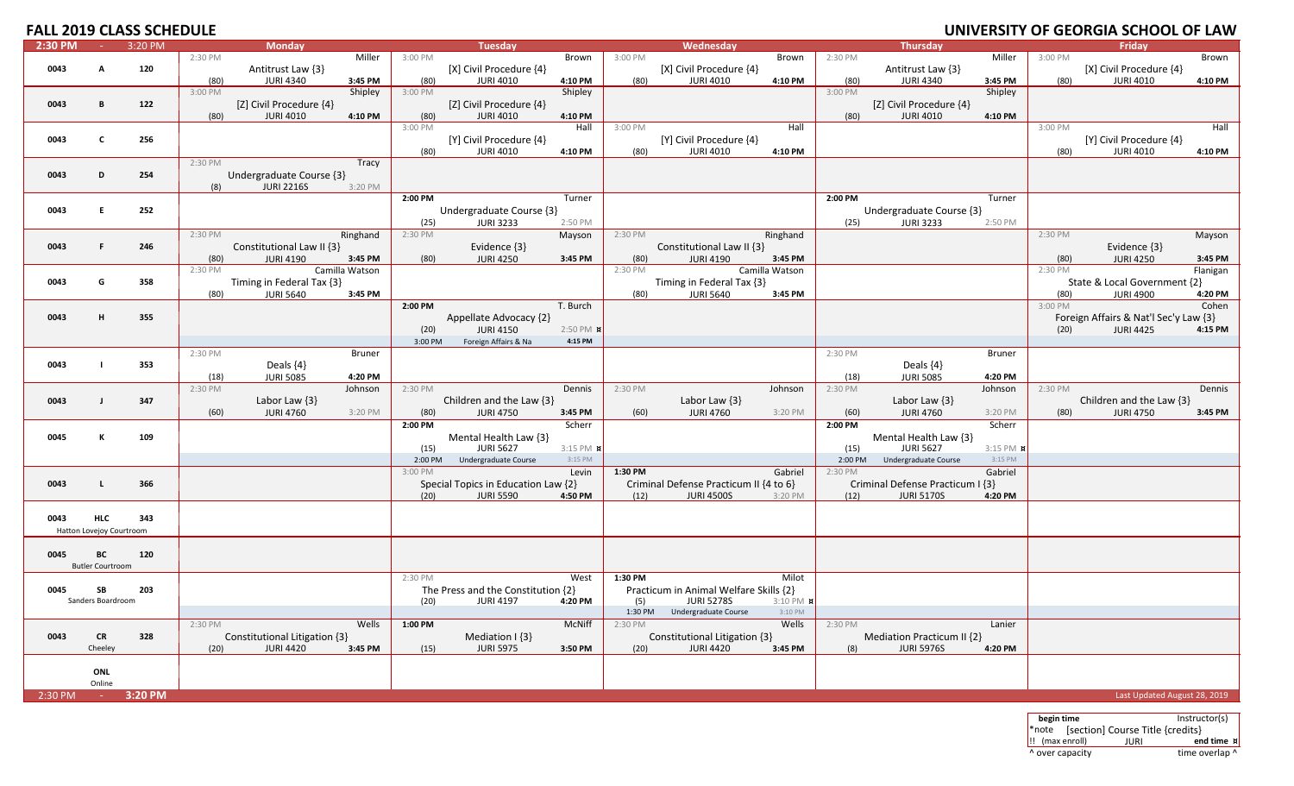# **FALL 2019 CLASS SCHEDULE**

| 2:30 PM | $\sim 10^{-1}$           | 3:20 PM |         | <b>Monday</b>                 |                |         | <b>Tuesday</b>                      |                  |         | Wednesday                              |                |         | <b>Thursday</b>                  |               |         | Friday                                |          |
|---------|--------------------------|---------|---------|-------------------------------|----------------|---------|-------------------------------------|------------------|---------|----------------------------------------|----------------|---------|----------------------------------|---------------|---------|---------------------------------------|----------|
|         |                          |         | 2:30 PM |                               | Miller         | 3:00 PM |                                     | Brown            | 3:00 PM |                                        | Brown          | 2:30 PM |                                  | Miller        | 3:00 PM |                                       | Brown    |
|         | A                        |         |         |                               |                |         |                                     |                  |         |                                        |                |         |                                  |               |         |                                       |          |
| 0043    |                          | 120     |         | Antitrust Law {3}             |                |         | [X] Civil Procedure {4}             |                  |         | [X] Civil Procedure {4}                |                |         | Antitrust Law {3}                |               |         | [X] Civil Procedure {4}               |          |
|         |                          |         | (80)    | <b>JURI 4340</b>              | 3:45 PM        | (80)    | <b>JURI 4010</b>                    | 4:10 PM          | (80)    | <b>JURI 4010</b>                       | 4:10 PM        | (80)    | <b>JURI 4340</b>                 | 3:45 PM       | (80)    | <b>JURI 4010</b>                      | 4:10 PM  |
|         |                          |         | 3:00 PM |                               | Shipley        | 3:00 PM |                                     | Shipley          |         |                                        |                | 3:00 PM |                                  | Shipley       |         |                                       |          |
| 0043    | B                        | 122     |         | [Z] Civil Procedure {4}       |                |         | [Z] Civil Procedure {4}             |                  |         |                                        |                |         | [Z] Civil Procedure {4}          |               |         |                                       |          |
|         |                          |         | (80)    | <b>JURI 4010</b>              | 4:10 PM        | (80)    | <b>JURI 4010</b>                    | 4:10 PM          |         |                                        |                | (80)    | <b>JURI 4010</b>                 | 4:10 PM       |         |                                       |          |
|         |                          |         |         |                               |                | 3:00 PM |                                     | Hall             | 3:00 PM |                                        | Hall           |         |                                  |               | 3:00 PM |                                       | Hall     |
| 0043    | $\mathbf{c}$             | 256     |         |                               |                |         | [Y] Civil Procedure {4}             |                  |         | [Y] Civil Procedure {4}                |                |         |                                  |               |         | [Y] Civil Procedure {4}               |          |
|         |                          |         |         |                               |                | (80)    | <b>JURI 4010</b>                    | 4:10 PM          | (80)    | <b>JURI 4010</b>                       | 4:10 PM        |         |                                  |               | (80)    | <b>JURI 4010</b>                      | 4:10 PM  |
|         |                          |         |         |                               |                |         |                                     |                  |         |                                        |                |         |                                  |               |         |                                       |          |
|         |                          |         | 2:30 PM |                               | Tracy          |         |                                     |                  |         |                                        |                |         |                                  |               |         |                                       |          |
| 0043    | D                        | 254     |         | Undergraduate Course {3}      |                |         |                                     |                  |         |                                        |                |         |                                  |               |         |                                       |          |
|         |                          |         | (8)     | <b>JURI 2216S</b>             | 3:20 PM        |         |                                     |                  |         |                                        |                |         |                                  |               |         |                                       |          |
|         |                          |         |         |                               |                | 2:00 PM |                                     | Turner           |         |                                        |                | 2:00 PM |                                  | Turner        |         |                                       |          |
| 0043    | E                        | 252     |         |                               |                |         | Undergraduate Course {3}            |                  |         |                                        |                |         | Undergraduate Course {3}         |               |         |                                       |          |
|         |                          |         |         |                               |                | (25)    | <b>JURI 3233</b>                    | 2:50 PM          |         |                                        |                | (25)    | <b>JURI 3233</b>                 | 2:50 PM       |         |                                       |          |
|         |                          |         | 2:30 PM |                               | Ringhand       | 2:30 PM |                                     | Mayson           | 2:30 PM |                                        | Ringhand       |         |                                  |               | 2:30 PM |                                       | Mayson   |
| 0043    | F.                       | 246     |         |                               |                |         |                                     |                  |         |                                        |                |         |                                  |               |         |                                       |          |
|         |                          |         |         | Constitutional Law II {3}     |                |         | Evidence {3}                        |                  |         | Constitutional Law II {3}              |                |         |                                  |               |         | Evidence {3}                          |          |
|         |                          |         | (80)    | <b>JURI 4190</b>              | 3:45 PM        | (80)    | <b>JURI 4250</b>                    | 3:45 PM          | (80)    | <b>JURI 4190</b>                       | 3:45 PM        |         |                                  |               | (80)    | <b>JURI 4250</b>                      | 3:45 PM  |
|         |                          |         | 2:30 PM |                               | Camilla Watson |         |                                     |                  | 2:30 PM |                                        | Camilla Watson |         |                                  |               | 2:30 PM |                                       | Flanigan |
| 0043    | G                        | 358     |         | Timing in Federal Tax {3}     |                |         |                                     |                  |         | Timing in Federal Tax {3}              |                |         |                                  |               |         | State & Local Government {2}          |          |
|         |                          |         | (80)    | <b>JURI 5640</b>              | 3:45 PM        |         |                                     |                  | (80)    | <b>JURI 5640</b>                       | 3:45 PM        |         |                                  |               | (80)    | <b>JURI 4900</b>                      | 4:20 PM  |
|         |                          |         |         |                               |                | 2:00 PM |                                     | T. Burch         |         |                                        |                |         |                                  |               | 3:00 PM |                                       | Cohen    |
| 0043    | H                        | 355     |         |                               |                |         | Appellate Advocacy {2}              |                  |         |                                        |                |         |                                  |               |         | Foreign Affairs & Nat'l Sec'y Law {3} |          |
|         |                          |         |         |                               |                | (20)    | <b>JURI 4150</b>                    | 2:50 PM <b>x</b> |         |                                        |                |         |                                  |               | (20)    | <b>JURI 4425</b>                      | 4:15 PM  |
|         |                          |         |         |                               |                |         |                                     |                  |         |                                        |                |         |                                  |               |         |                                       |          |
|         |                          |         |         |                               |                | 3:00 PM | Foreign Affairs & Na                | 4:15 PM          |         |                                        |                |         |                                  |               |         |                                       |          |
|         |                          |         | 2:30 PM |                               | <b>Bruner</b>  |         |                                     |                  |         |                                        |                | 2:30 PM |                                  | <b>Bruner</b> |         |                                       |          |
| 0043    | $\blacksquare$           | 353     |         | Deals {4}                     |                |         |                                     |                  |         |                                        |                |         | Deals $\{4\}$                    |               |         |                                       |          |
|         |                          |         | (18)    | <b>JURI 5085</b>              | 4:20 PM        |         |                                     |                  |         |                                        |                | (18)    | <b>JURI 5085</b>                 | 4:20 PM       |         |                                       |          |
|         |                          |         | 2:30 PM |                               | Johnson        | 2:30 PM |                                     | Dennis           | 2:30 PM |                                        | Johnson        | 2:30 PM |                                  | Johnson       | 2:30 PM |                                       | Dennis   |
| 0043    | J                        | 347     |         | Labor Law $\{3\}$             |                |         | Children and the Law {3}            |                  |         | Labor Law $\{3\}$                      |                |         | Labor Law $\{3\}$                |               |         | Children and the Law {3}              |          |
|         |                          |         | (60)    | <b>JURI 4760</b>              | 3:20 PM        | (80)    | <b>JURI 4750</b>                    | 3:45 PM          | (60)    | <b>JURI 4760</b>                       | 3:20 PM        | (60)    | <b>JURI 4760</b>                 | 3:20 PM       | (80)    | <b>JURI 4750</b>                      | 3:45 PM  |
|         |                          |         |         |                               |                | 2:00 PM |                                     |                  |         |                                        |                |         |                                  |               |         |                                       |          |
|         |                          |         |         |                               |                |         |                                     | Scherr           |         |                                        |                | 2:00 PM |                                  | Scherr        |         |                                       |          |
| 0045    | к                        | 109     |         |                               |                |         | Mental Health Law {3}               |                  |         |                                        |                |         | Mental Health Law {3}            |               |         |                                       |          |
|         |                          |         |         |                               |                | (15)    | <b>JURI 5627</b>                    | 3:15 PM <b>x</b> |         |                                        |                | (15)    | <b>JURI 5627</b>                 | 3:15 PM X     |         |                                       |          |
|         |                          |         |         |                               |                | 2:00 PM | Undergraduate Course                | 3:15 PM          |         |                                        |                | 2:00 PM | Undergraduate Course             | 3:15 PM       |         |                                       |          |
|         |                          |         |         |                               |                | 3:00 PM |                                     | Levin            | 1:30 PM |                                        | Gabriel        | 2:30 PM |                                  | Gabriel       |         |                                       |          |
| 0043    | L                        | 366     |         |                               |                |         | Special Topics in Education Law {2} |                  |         | Criminal Defense Practicum II {4 to 6} |                |         | Criminal Defense Practicum I {3} |               |         |                                       |          |
|         |                          |         |         |                               |                | (20)    | <b>JURI 5590</b>                    | 4:50 PM          | (12)    | <b>JURI 4500S</b>                      | 3:20 PM        | (12)    | <b>JURI 5170S</b>                | 4:20 PM       |         |                                       |          |
|         |                          |         |         |                               |                |         |                                     |                  |         |                                        |                |         |                                  |               |         |                                       |          |
| 0043    | <b>HLC</b>               | 343     |         |                               |                |         |                                     |                  |         |                                        |                |         |                                  |               |         |                                       |          |
|         |                          |         |         |                               |                |         |                                     |                  |         |                                        |                |         |                                  |               |         |                                       |          |
|         | Hatton Lovejoy Courtroom |         |         |                               |                |         |                                     |                  |         |                                        |                |         |                                  |               |         |                                       |          |
|         |                          |         |         |                               |                |         |                                     |                  |         |                                        |                |         |                                  |               |         |                                       |          |
| 0045    | BC                       | 120     |         |                               |                |         |                                     |                  |         |                                        |                |         |                                  |               |         |                                       |          |
|         | <b>Butler Courtroom</b>  |         |         |                               |                |         |                                     |                  |         |                                        |                |         |                                  |               |         |                                       |          |
|         |                          |         |         |                               |                | 2:30 PM |                                     | West             | 1:30 PM |                                        | Milot          |         |                                  |               |         |                                       |          |
| 0045    | SB                       | 203     |         |                               |                |         | The Press and the Constitution {2}  |                  |         | Practicum in Animal Welfare Skills {2} |                |         |                                  |               |         |                                       |          |
|         | Sanders Boardroom        |         |         |                               |                | (20)    | <b>JURI 4197</b>                    | 4:20 PM          | (5)     | <b>JURI 5278S</b>                      | 3:10 PM #      |         |                                  |               |         |                                       |          |
|         |                          |         |         |                               |                |         |                                     |                  | 1:30 PM | Undergraduate Course                   | 3:10 PM        |         |                                  |               |         |                                       |          |
|         |                          |         | 2:30 PM |                               | Wells          | 1:00 PM |                                     | McNiff           | 2:30 PM |                                        | Wells          | 2:30 PM |                                  | Lanier        |         |                                       |          |
|         |                          |         |         |                               |                |         |                                     |                  |         |                                        |                |         |                                  |               |         |                                       |          |
| 0043    | <b>CR</b>                | 328     |         | Constitutional Litigation {3} |                |         | Mediation $\{3\}$                   |                  |         | Constitutional Litigation {3}          |                |         | Mediation Practicum II {2}       |               |         |                                       |          |
|         | Cheeley                  |         | (20)    | <b>JURI 4420</b>              | 3:45 PM        | (15)    | <b>JURI 5975</b>                    | 3:50 PM          | (20)    | <b>JURI 4420</b>                       | 3:45 PM        | (8)     | <b>JURI 5976S</b>                | 4:20 PM       |         |                                       |          |
|         |                          |         |         |                               |                |         |                                     |                  |         |                                        |                |         |                                  |               |         |                                       |          |
|         | ONL                      |         |         |                               |                |         |                                     |                  |         |                                        |                |         |                                  |               |         |                                       |          |
|         | Online                   |         |         |                               |                |         |                                     |                  |         |                                        |                |         |                                  |               |         |                                       |          |
| 2:30 PM | $\sim 10^{-1}$           | 3:20 PM |         |                               |                |         |                                     |                  |         |                                        |                |         |                                  |               |         | Last Updated August 28, 2019          |          |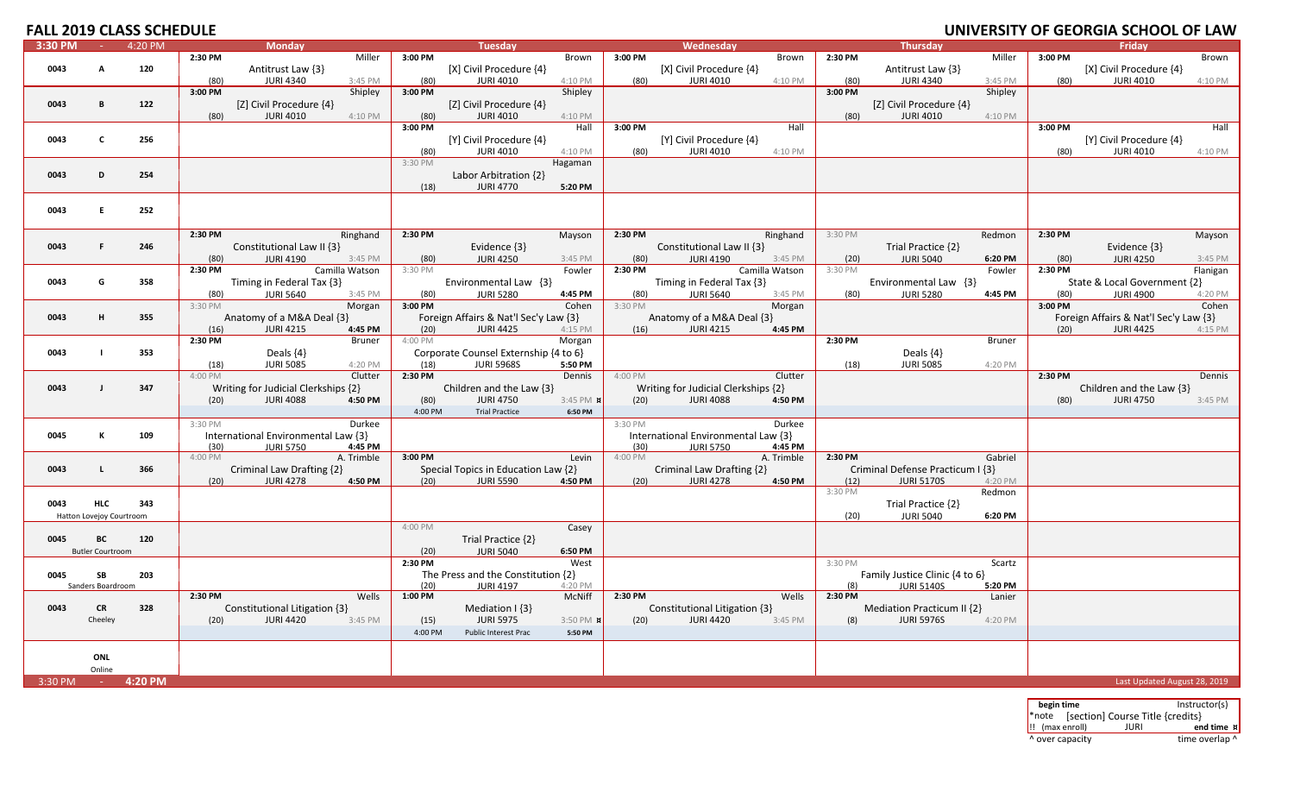# **UNIVERSITY OF GEORGIA SCHOOL OF LAW**

| 3:30 PM | <b>College</b>           | 4:20 PM |         | <b>Monday</b>                       |                |         | <b>Tuesday</b>                        |                  |         | Wednesday                           |                |         | Thursday                         |               |         | Friday                                |          |
|---------|--------------------------|---------|---------|-------------------------------------|----------------|---------|---------------------------------------|------------------|---------|-------------------------------------|----------------|---------|----------------------------------|---------------|---------|---------------------------------------|----------|
|         |                          |         | 2:30 PM |                                     | Miller         | 3:00 PM |                                       | Brown            | 3:00 PM |                                     | Brown          | 2:30 PM |                                  | Miller        | 3:00 PM |                                       | Brown    |
| 0043    | A                        | 120     |         | Antitrust Law {3}                   |                |         | [X] Civil Procedure {4}               |                  |         | [X] Civil Procedure {4}             |                |         | Antitrust Law {3}                |               |         | [X] Civil Procedure {4}               |          |
|         |                          |         | (80)    | <b>JURI 4340</b>                    | 3:45 PM        | (80)    | <b>JURI 4010</b>                      | 4:10 PM          | (80)    | <b>JURI 4010</b>                    | 4:10 PM        | (80)    | <b>JURI 4340</b>                 | 3:45 PM       | (80)    | <b>JURI 4010</b>                      | 4:10 PM  |
|         |                          |         | 3:00 PM |                                     | Shipley        | 3:00 PM |                                       | Shipley          |         |                                     |                | 3:00 PM |                                  | Shipley       |         |                                       |          |
| 0043    | B                        | 122     |         | [Z] Civil Procedure {4}             |                |         | [Z] Civil Procedure {4}               |                  |         |                                     |                |         | [Z] Civil Procedure {4}          |               |         |                                       |          |
|         |                          |         | (80)    | <b>JURI 4010</b>                    | 4:10 PM        | (80)    | <b>JURI 4010</b>                      | 4:10 PM          |         |                                     |                | (80)    | <b>JURI 4010</b>                 | 4:10 PM       |         |                                       |          |
|         |                          |         |         |                                     |                | 3:00 PM |                                       | Hall             | 3:00 PM |                                     | Hall           |         |                                  |               | 3:00 PM |                                       | Hall     |
| 0043    | $\mathbf{C}$             | 256     |         |                                     |                |         | [Y] Civil Procedure {4}               |                  |         | [Y] Civil Procedure {4}             |                |         |                                  |               |         | [Y] Civil Procedure {4}               |          |
|         |                          |         |         |                                     |                | (80)    | <b>JURI 4010</b>                      | 4:10 PM          | (80)    | <b>JURI 4010</b>                    | 4:10 PM        |         |                                  |               | (80)    | <b>JURI 4010</b>                      | 4:10 PM  |
|         |                          |         |         |                                     |                | 3:30 PM |                                       | Hagaman          |         |                                     |                |         |                                  |               |         |                                       |          |
| 0043    | D                        | 254     |         |                                     |                |         | Labor Arbitration {2}                 |                  |         |                                     |                |         |                                  |               |         |                                       |          |
|         |                          |         |         |                                     |                | (18)    | <b>JURI 4770</b>                      | 5:20 PM          |         |                                     |                |         |                                  |               |         |                                       |          |
|         |                          |         |         |                                     |                |         |                                       |                  |         |                                     |                |         |                                  |               |         |                                       |          |
| 0043    | E.                       | 252     |         |                                     |                |         |                                       |                  |         |                                     |                |         |                                  |               |         |                                       |          |
|         |                          |         |         |                                     |                |         |                                       |                  |         |                                     |                |         |                                  |               |         |                                       |          |
|         |                          |         |         |                                     |                |         |                                       |                  |         |                                     |                |         |                                  |               |         |                                       |          |
|         |                          |         | 2:30 PM |                                     | Ringhand       | 2:30 PM |                                       | Mayson           | 2:30 PM |                                     | Ringhand       | 3:30 PM |                                  | Redmon        | 2:30 PM |                                       | Mayson   |
| 0043    | F.                       | 246     |         | Constitutional Law II {3}           |                |         | Evidence {3}                          |                  |         | Constitutional Law II {3}           |                |         | Trial Practice {2}               |               |         | Evidence $\{3\}$                      |          |
|         |                          |         | (80)    | <b>JURI 4190</b>                    | 3:45 PM        | (80)    | <b>JURI 4250</b>                      | 3:45 PM          | (80)    | <b>JURI 4190</b>                    | 3:45 PM        | (20)    | <b>JURI 5040</b>                 | 6:20 PM       | (80)    | <b>JURI 4250</b>                      | 3:45 PM  |
|         |                          |         | 2:30 PM |                                     | Camilla Watson | 3:30 PM |                                       | Fowler           | 2:30 PM |                                     | Camilla Watson | 3:30 PM |                                  | Fowler        | 2:30 PM |                                       | Flanigan |
| 0043    | G                        | 358     |         | Timing in Federal Tax {3}           |                |         | Environmental Law {3}                 |                  |         | Timing in Federal Tax {3}           |                |         | Environmental Law {3}            |               |         | State & Local Government {2}          |          |
|         |                          |         | (80)    | <b>JURI 5640</b>                    | 3:45 PM        | (80)    | <b>JURI 5280</b>                      | 4:45 PM          | (80)    | <b>JURI 5640</b>                    | 3:45 PM        | (80)    | <b>JURI 5280</b>                 | 4:45 PM       | (80)    | <b>JURI 4900</b>                      | 4:20 PM  |
|         |                          |         | 3:30 PM |                                     | Morgan         | 3:00 PM |                                       | Cohen            | 3:30 PM |                                     | Morgan         |         |                                  |               | 3:00 PM |                                       | Cohen    |
| 0043    | H.                       | 355     |         | Anatomy of a M&A Deal {3}           |                |         | Foreign Affairs & Nat'l Sec'y Law {3} |                  |         | Anatomy of a M&A Deal {3}           |                |         |                                  |               |         | Foreign Affairs & Nat'l Sec'y Law {3} |          |
|         |                          |         | (16)    | <b>JURI 4215</b>                    | 4:45 PM        | (20)    | <b>JURI 4425</b>                      | 4:15 PM          | (16)    | <b>JURI 4215</b>                    | 4:45 PM        |         |                                  |               | (20)    | <b>JURI 4425</b>                      | 4:15 PM  |
|         |                          |         | 2:30 PM |                                     | <b>Bruner</b>  | 4:00 PM |                                       | Morgan           |         |                                     |                | 2:30 PM |                                  | <b>Bruner</b> |         |                                       |          |
| 0043    |                          | 353     |         | Deals $\{4\}$                       |                |         | Corporate Counsel Externship {4 to 6} |                  |         |                                     |                |         | Deals $\{4\}$                    |               |         |                                       |          |
|         |                          |         | (18)    | <b>JURI 5085</b>                    | 4:20 PM        | (18)    | <b>JURI 5968S</b>                     | 5:50 PM          |         |                                     |                | (18)    | <b>JURI 5085</b>                 | 4:20 PM       |         |                                       |          |
|         |                          |         | 4:00 PM |                                     | Clutter        | 2:30 PM |                                       | Dennis           | 4:00 PM |                                     | Clutter        |         |                                  |               | 2:30 PM |                                       | Dennis   |
| 0043    |                          | 347     |         | Writing for Judicial Clerkships {2} |                |         | Children and the Law {3}              |                  |         | Writing for Judicial Clerkships {2} |                |         |                                  |               |         | Children and the Law {3}              |          |
|         |                          |         | (20)    | <b>JURI 4088</b>                    | 4:50 PM        | (80)    | <b>JURI 4750</b>                      | 3:45 PM <b>x</b> | (20)    | <b>JURI 4088</b>                    | 4:50 PM        |         |                                  |               | (80)    | <b>JURI 4750</b>                      | 3:45 PM  |
|         |                          |         |         |                                     |                | 4:00 PM | <b>Trial Practice</b>                 | 6:50 PM          |         |                                     |                |         |                                  |               |         |                                       |          |
|         |                          |         | 3:30 PM |                                     | Durkee         |         |                                       |                  | 3:30 PM |                                     | <b>Durkee</b>  |         |                                  |               |         |                                       |          |
| 0045    | к                        | 109     |         | International Environmental Law {3} |                |         |                                       |                  |         | International Environmental Law {3} |                |         |                                  |               |         |                                       |          |
|         |                          |         | (30)    | <b>JURI 5750</b>                    | 4:45 PM        |         |                                       |                  | (30)    | <b>JURI 5750</b>                    | 4:45 PM        |         |                                  |               |         |                                       |          |
|         |                          |         | 4:00 PM |                                     | A. Trimble     | 3:00 PM |                                       | Levin            | 4:00 PM |                                     | A. Trimble     | 2:30 PM |                                  | Gabriel       |         |                                       |          |
| 0043    | $\mathsf{L}$             | 366     |         | Criminal Law Drafting {2}           |                |         | Special Topics in Education Law {2}   |                  |         | Criminal Law Drafting {2}           |                |         | Criminal Defense Practicum I {3} |               |         |                                       |          |
|         |                          |         | (20)    | <b>JURI 4278</b>                    | 4:50 PM        | (20)    | <b>JURI 5590</b>                      | 4:50 PM          | (20)    | <b>JURI 4278</b>                    | 4:50 PM        | (12)    | <b>JURI 5170S</b>                | 4:20 PM       |         |                                       |          |
|         |                          |         |         |                                     |                |         |                                       |                  |         |                                     |                | 3:30 PM |                                  | Redmon        |         |                                       |          |
| 0043    | <b>HLC</b>               | 343     |         |                                     |                |         |                                       |                  |         |                                     |                |         | Trial Practice {2}               |               |         |                                       |          |
|         | Hatton Lovejoy Courtroom |         |         |                                     |                |         |                                       |                  |         |                                     |                | (20)    | <b>JURI 5040</b>                 | 6:20 PM       |         |                                       |          |
|         |                          |         |         |                                     |                | 4:00 PM |                                       | Casey            |         |                                     |                |         |                                  |               |         |                                       |          |
| 0045    | BC                       | 120     |         |                                     |                |         | Trial Practice {2}                    |                  |         |                                     |                |         |                                  |               |         |                                       |          |
|         | <b>Butler Courtroom</b>  |         |         |                                     |                | (20)    | <b>JURI 5040</b>                      | 6:50 PM          |         |                                     |                |         |                                  |               |         |                                       |          |
|         |                          |         |         |                                     |                | 2:30 PM |                                       | West             |         |                                     |                | 3:30 PM |                                  | Scartz        |         |                                       |          |
| 0045    | <b>SB</b>                | 203     |         |                                     |                |         | The Press and the Constitution {2}    |                  |         |                                     |                |         | Family Justice Clinic {4 to 6}   |               |         |                                       |          |
|         | Sanders Boardroom        |         |         |                                     |                | (20)    | <b>JURI 4197</b>                      | 4:20 PM          |         |                                     |                | (8)     | <b>JURI 5140S</b>                | 5:20 PM       |         |                                       |          |
|         |                          |         | 2:30 PM |                                     | Wells          | 1:00 PM |                                       | <b>McNiff</b>    | 2:30 PM |                                     | Wells          | 2:30 PM |                                  | Lanier        |         |                                       |          |
| 0043    | <b>CR</b>                | 328     |         | Constitutional Litigation {3}       |                |         | Mediation $ \{3\} $                   |                  |         | Constitutional Litigation {3}       |                |         | Mediation Practicum II {2}       |               |         |                                       |          |
|         | Cheeley                  |         | (20)    | <b>JURI 4420</b>                    | 3:45 PM        | (15)    | <b>JURI 5975</b>                      | 3:50 PM <b>x</b> | (20)    | <b>JURI 4420</b>                    | 3:45 PM        | (8)     | <b>JURI 5976S</b>                | 4:20 PM       |         |                                       |          |
|         |                          |         |         |                                     |                | 4:00 PM | Public Interest Prac                  | 5:50 PM          |         |                                     |                |         |                                  |               |         |                                       |          |
|         |                          |         |         |                                     |                |         |                                       |                  |         |                                     |                |         |                                  |               |         |                                       |          |
|         | ONL                      |         |         |                                     |                |         |                                       |                  |         |                                     |                |         |                                  |               |         |                                       |          |
|         | Online                   |         |         |                                     |                |         |                                       |                  |         |                                     |                |         |                                  |               |         |                                       |          |
| 3:30 PM | <b>Contractor</b>        | 4:20 PM |         |                                     |                |         |                                       |                  |         |                                     |                |         |                                  |               |         | Last Updated August 28, 2019          |          |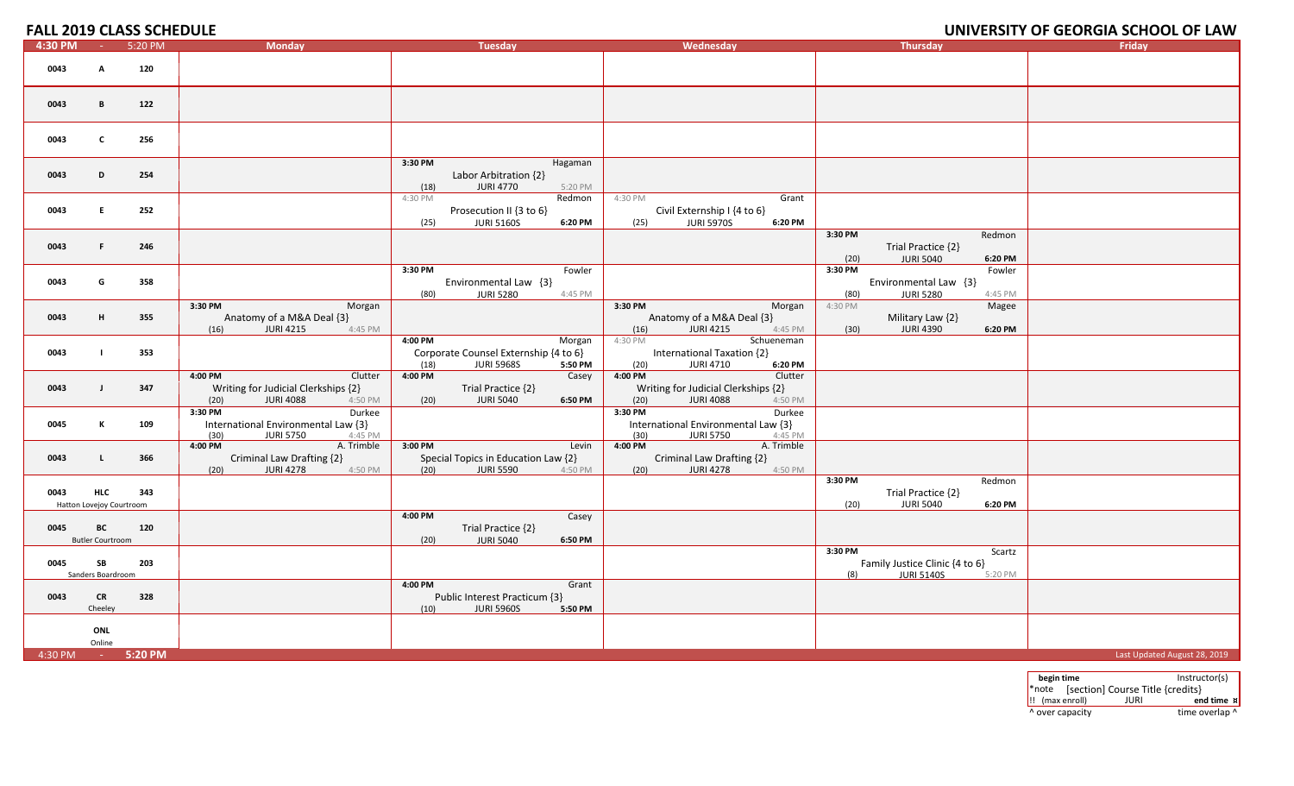## **UNIVERSITY OF GEORGIA SCHOOL OF LAW**

| 4:30 PM             |                                        | 5:20 PM | <b>Monday</b>                                                                                    | <b>Tuesday</b>                                                                                     | Wednesday                                                                                        | <b>Thursday</b>                                                                            | Friday                       |
|---------------------|----------------------------------------|---------|--------------------------------------------------------------------------------------------------|----------------------------------------------------------------------------------------------------|--------------------------------------------------------------------------------------------------|--------------------------------------------------------------------------------------------|------------------------------|
| 0043                | A                                      | 120     |                                                                                                  |                                                                                                    |                                                                                                  |                                                                                            |                              |
| 0043                | B                                      | 122     |                                                                                                  |                                                                                                    |                                                                                                  |                                                                                            |                              |
| 0043                | C                                      | 256     |                                                                                                  |                                                                                                    |                                                                                                  |                                                                                            |                              |
| 0043                | D                                      | 254     |                                                                                                  | 3:30 PM<br>Hagaman<br>Labor Arbitration {2}<br><b>JURI 4770</b><br>(18)<br>5:20 PM                 |                                                                                                  |                                                                                            |                              |
| 0043                | E.                                     | 252     |                                                                                                  | 4:30 PM<br>Redmon<br>Prosecution II {3 to 6}<br><b>JURI 5160S</b><br>(25)<br>6:20 PM               | 4:30 PM<br>Grant<br>Civil Externship I {4 to 6}<br><b>JURI 5970S</b><br>6:20 PM<br>(25)          |                                                                                            |                              |
| 0043                | F.                                     | 246     |                                                                                                  |                                                                                                    |                                                                                                  | 3:30 PM<br>Redmon<br>Trial Practice {2}<br><b>JURI 5040</b><br>6:20 PM<br>(20)             |                              |
| 0043                | G                                      | 358     |                                                                                                  | 3:30 PM<br>Fowler<br>Environmental Law {3}<br>(80)<br><b>JURI 5280</b><br>4:45 PM                  |                                                                                                  | 3:30 PM<br>Fowler<br>Environmental Law {3}<br>(80)<br><b>JURI 5280</b><br>4:45 PM          |                              |
| 0043                | H                                      | 355     | 3:30 PM<br>Morgan<br>Anatomy of a M&A Deal {3}<br><b>JURI 4215</b><br>4:45 PM<br>(16)            |                                                                                                    | 3:30 PM<br>Morgan<br>Anatomy of a M&A Deal {3}<br>4:45 PM<br>(16)<br><b>JURI 4215</b>            | 4:30 PM<br>Magee<br>Military Law {2}<br><b>JURI 4390</b><br>(30)<br>6:20 PM                |                              |
| 0043                |                                        | 353     |                                                                                                  | 4:00 PM<br>Morgan<br>Corporate Counsel Externship {4 to 6}<br><b>JURI 5968S</b><br>(18)<br>5:50 PM | 4:30 PM<br>Schueneman<br>International Taxation {2}<br><b>JURI 4710</b><br>(20)<br>6:20 PM       |                                                                                            |                              |
| 0043                | $\blacksquare$                         | 347     | 4:00 PM<br>Clutter<br>Writing for Judicial Clerkships {2}<br><b>JURI 4088</b><br>(20)<br>4:50 PM | 4:00 PM<br>Casey<br>Trial Practice {2}<br><b>JURI 5040</b><br>(20)<br>6:50 PM                      | 4:00 PM<br>Clutter<br>Writing for Judicial Clerkships {2}<br><b>JURI 4088</b><br>(20)<br>4:50 PM |                                                                                            |                              |
| 0045                | К                                      | 109     | 3:30 PM<br>Durkee<br>International Environmental Law {3}<br><b>JURI 5750</b><br>(30)<br>4:45 PM  |                                                                                                    | 3:30 PM<br>Durkee<br>International Environmental Law {3}<br>(30)<br><b>JURI 5750</b><br>4:45 PM  |                                                                                            |                              |
| 0043                | L.                                     | 366     | 4:00 PM<br>A. Trimble<br>Criminal Law Drafting {2}<br>(20)<br><b>JURI 4278</b><br>4:50 PM        | 3:00 PM<br>Levin<br>Special Topics in Education Law {2}<br>(20)<br><b>JURI 5590</b><br>4:50 PM     | 4:00 PM<br>A. Trimble<br>Criminal Law Drafting {2}<br><b>JURI 4278</b><br>(20)<br>4:50 PM        |                                                                                            |                              |
| 0043                | <b>HLC</b><br>Hatton Lovejoy Courtroom | 343     |                                                                                                  |                                                                                                    |                                                                                                  | 3:30 PM<br>Redmon<br>Trial Practice {2}<br><b>JURI 5040</b><br>(20)<br>6:20 PM             |                              |
| 0045                | ВC<br><b>Butler Courtroom</b>          | 120     |                                                                                                  | 4:00 PM<br>Casey<br>Trial Practice {2}<br><b>JURI 5040</b><br>6:50 PM<br>(20)                      |                                                                                                  |                                                                                            |                              |
| 0045                | <b>SB</b><br>Sanders Boardroom         | 203     |                                                                                                  |                                                                                                    |                                                                                                  | 3:30 PM<br>Scartz<br>Family Justice Clinic {4 to 6}<br><b>JURI 5140S</b><br>5:20 PM<br>(8) |                              |
| 0043                | <b>CR</b><br>Cheeley                   | 328     |                                                                                                  | 4:00 PM<br>Grant<br>Public Interest Practicum {3}<br><b>JURI 5960S</b><br>5:50 PM<br>(10)          |                                                                                                  |                                                                                            |                              |
|                     | ONL<br>Online                          |         |                                                                                                  |                                                                                                    |                                                                                                  |                                                                                            |                              |
| $4:30 \text{ PM}$ - |                                        | 5:20 PM |                                                                                                  |                                                                                                    |                                                                                                  |                                                                                            | Last Updated August 28, 2019 |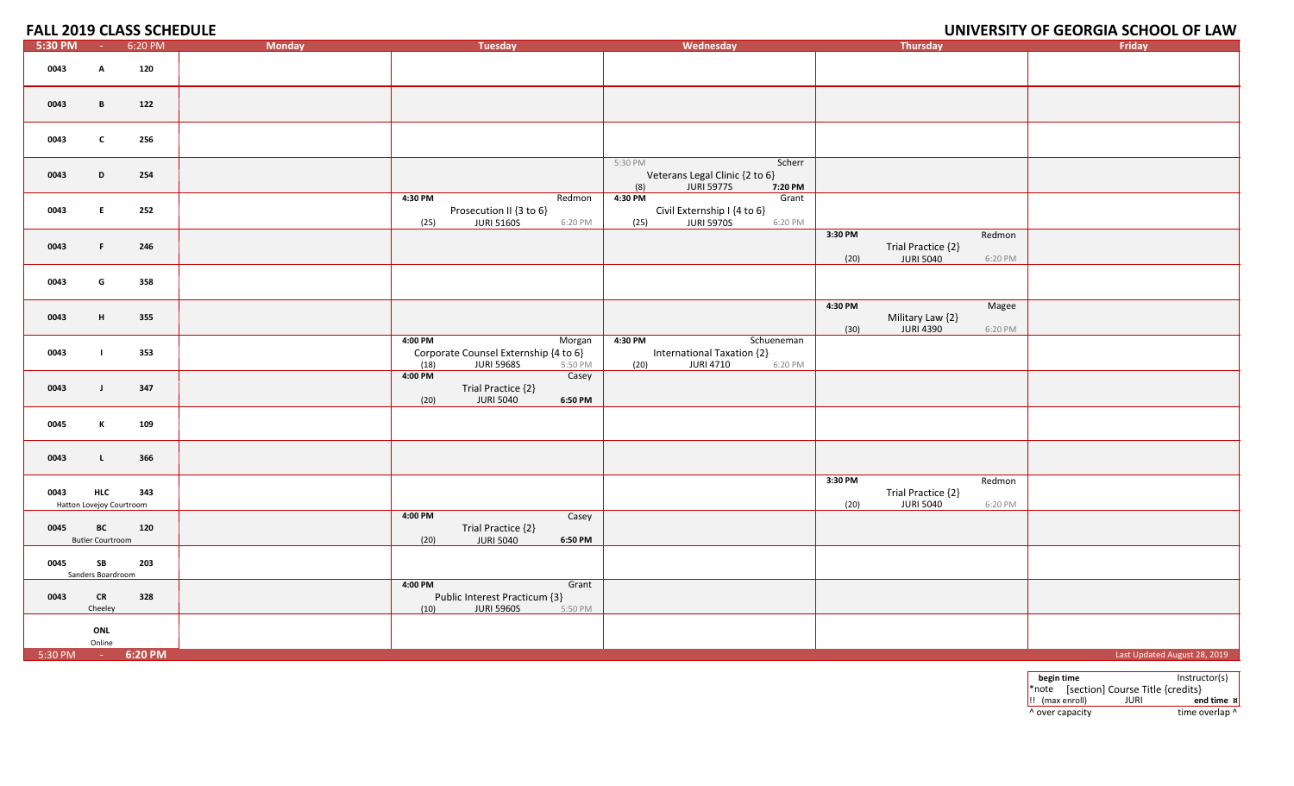## **UNIVERSITY OF GEORGIA SCHOOL OF LAW**

| 5:30 PM           | $\sim 100$                             | 6:20 PM | <b>Monday</b>   | <b>Tuesday</b>                                                                  | Wednesday                                                                                  | Thursday                                                                       | Friday                       |
|-------------------|----------------------------------------|---------|-----------------|---------------------------------------------------------------------------------|--------------------------------------------------------------------------------------------|--------------------------------------------------------------------------------|------------------------------|
| 0043              | A                                      | 120     |                 |                                                                                 |                                                                                            |                                                                                |                              |
| 0043              | B                                      | 122     |                 |                                                                                 |                                                                                            |                                                                                |                              |
| 0043              | $\mathbf{c}$                           | 256     |                 |                                                                                 |                                                                                            |                                                                                |                              |
| 0043              | D                                      | 254     |                 |                                                                                 | 5:30 PM<br>Scherr<br>Veterans Legal Clinic {2 to 6}<br>(8)<br><b>JURI 5977S</b><br>7:20 PM |                                                                                |                              |
| 0043              | Е.                                     | 252     | 4:30 PM<br>(25) | Redmon<br>Prosecution II {3 to 6}<br><b>JURI 5160S</b><br>6:20 PM               | 4:30 PM<br>Grant<br>Civil Externship I {4 to 6}<br><b>JURI 5970S</b><br>(25)<br>6:20 PM    |                                                                                |                              |
| 0043              | F.                                     | 246     |                 |                                                                                 |                                                                                            | 3:30 PM<br>Redmon<br>Trial Practice {2}<br><b>JURI 5040</b><br>(20)<br>6:20 PM |                              |
| 0043              | G                                      | 358     |                 |                                                                                 |                                                                                            |                                                                                |                              |
| 0043              | H                                      | 355     |                 |                                                                                 |                                                                                            | 4:30 PM<br>Magee<br>Military Law {2}<br>JURI 4390<br>(30)<br>6:20 PM           |                              |
| 0043              |                                        | 353     | 4:00 PM<br>(18) | Morgan<br>Corporate Counsel Externship {4 to 6}<br><b>JURI 5968S</b><br>5:50 PM | Schueneman<br>4:30 PM<br>International Taxation {2}<br>(20)<br><b>JURI 4710</b><br>6:20 PM |                                                                                |                              |
| 0043              | $\mathbf{J}$                           | 347     | 4:00 PM<br>(20) | Casey<br>Trial Practice {2}<br><b>JURI 5040</b><br>6:50 PM                      |                                                                                            |                                                                                |                              |
| 0045              | К                                      | 109     |                 |                                                                                 |                                                                                            |                                                                                |                              |
| 0043              | $\mathbf{L}$                           | 366     |                 |                                                                                 |                                                                                            |                                                                                |                              |
| 0043              | <b>HLC</b><br>Hatton Lovejoy Courtroom | 343     |                 |                                                                                 |                                                                                            | 3:30 PM<br>Redmon<br>Trial Practice {2}<br><b>JURI 5040</b><br>(20)<br>6:20 PM |                              |
| 0045              | BC<br><b>Butler Courtroom</b>          | 120     | 4:00 PM<br>(20) | Casey<br>Trial Practice {2}<br><b>JURI 5040</b><br>6:50 PM                      |                                                                                            |                                                                                |                              |
| 0045              | <b>SB</b><br>Sanders Boardroom         | 203     |                 |                                                                                 |                                                                                            |                                                                                |                              |
| 0043              | <b>CR</b><br>Cheeley                   | 328     | 4:00 PM<br>(10) | Grant<br>Public Interest Practicum {3}<br><b>JURI 5960S</b><br>5:50 PM          |                                                                                            |                                                                                |                              |
|                   | ONL<br>Online                          |         |                 |                                                                                 |                                                                                            |                                                                                |                              |
| 5:30 PM - 6:20 PM |                                        |         |                 |                                                                                 |                                                                                            |                                                                                | Last Updated August 28, 2019 |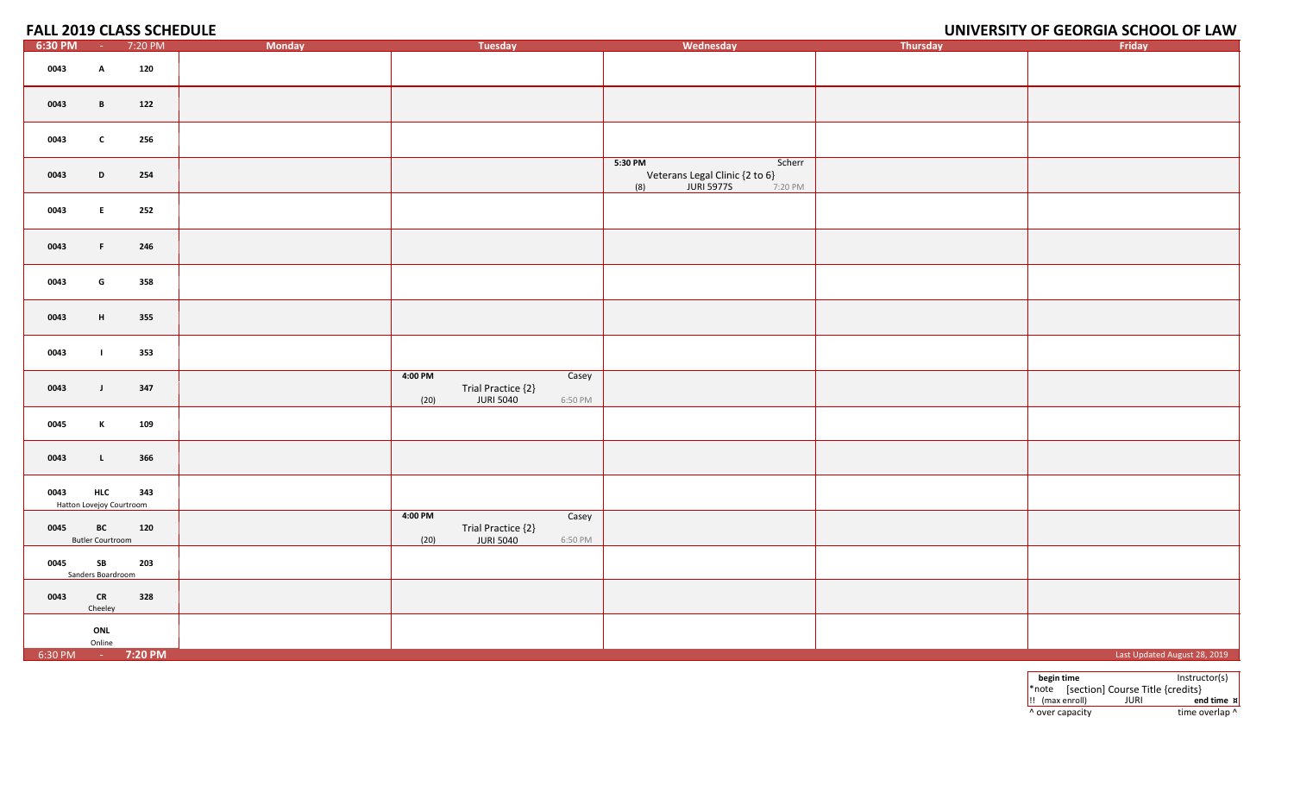## **UNIVERSITY OF GEORGIA SCHOOL OF LAW**

| 6:30 PM | <b>Contract</b>               | 7:20 PM                         | Monday | Tuesday                                                                       | Wednesday                                                                                  | Thursday | Friday                       |
|---------|-------------------------------|---------------------------------|--------|-------------------------------------------------------------------------------|--------------------------------------------------------------------------------------------|----------|------------------------------|
| 0043    | $\mathbf{A}$                  | 120                             |        |                                                                               |                                                                                            |          |                              |
| 0043    | $\mathbf{B}$                  | 122                             |        |                                                                               |                                                                                            |          |                              |
| 0043    | $\mathbf{c}$                  | 256                             |        |                                                                               |                                                                                            |          |                              |
| 0043    | D                             | 254                             |        |                                                                               | Scherr<br>5:30 PM<br>Veterans Legal Clinic {2 to 6}<br>(8)<br><b>JURI 5977S</b><br>7:20 PM |          |                              |
| 0043    | E                             | 252                             |        |                                                                               |                                                                                            |          |                              |
| 0043    | $\mathbf{F}$ .                | 246                             |        |                                                                               |                                                                                            |          |                              |
| 0043    | G                             | 358                             |        |                                                                               |                                                                                            |          |                              |
| 0043    | H                             | 355                             |        |                                                                               |                                                                                            |          |                              |
| 0043    | $\mathbf{L}$                  | 353                             |        |                                                                               |                                                                                            |          |                              |
| 0043    | $\mathbf{J}$                  | 347                             |        | 4:00 PM<br>Casey<br>Trial Practice {2}<br><b>JURI 5040</b><br>(20)<br>6:50 PM |                                                                                            |          |                              |
| 0045    | K                             | 109                             |        |                                                                               |                                                                                            |          |                              |
| 0043    | $\mathbf{L}$                  | 366                             |        |                                                                               |                                                                                            |          |                              |
| 0043    | <b>HLC</b>                    | 343<br>Hatton Lovejoy Courtroom |        |                                                                               |                                                                                            |          |                              |
| 0045    | BC<br><b>Butler Courtroom</b> | 120                             |        | 4:00 PM<br>Casey<br>Trial Practice {2}<br><b>JURI 5040</b><br>(20)<br>6:50 PM |                                                                                            |          |                              |
| 0045    | SB<br>Sanders Boardroom       | 203                             |        |                                                                               |                                                                                            |          |                              |
| 0043    | CR<br>Cheeley                 | 328                             |        |                                                                               |                                                                                            |          |                              |
|         | ONL<br>Online                 |                                 |        |                                                                               |                                                                                            |          |                              |
|         |                               | 6:30 PM - 7:20 PM               |        |                                                                               |                                                                                            |          | Last Updated August 28, 2019 |

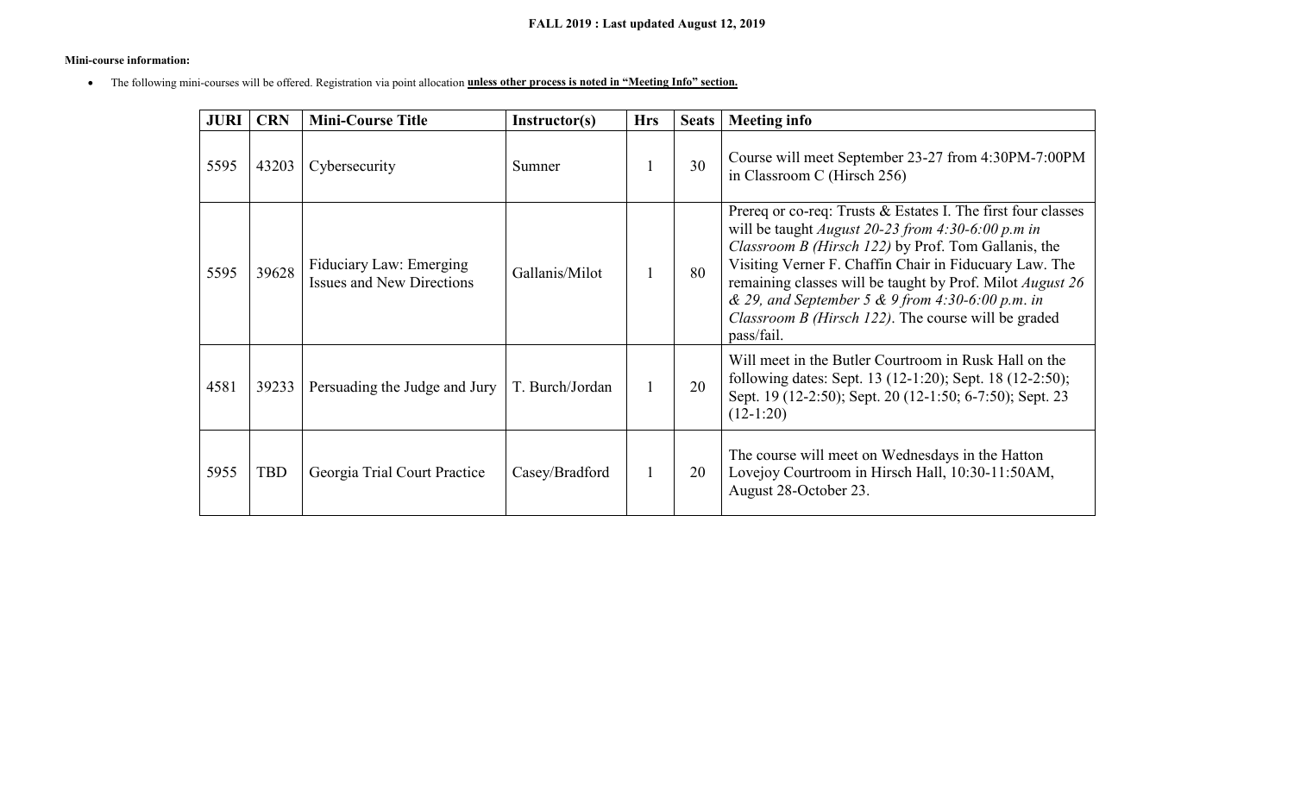#### **Mini-course information:**

• The following mini-courses will be offered. Registration via point allocation **unless other process is noted in "Meeting Info" section.**

| <b>JURI</b> | <b>CRN</b> | <b>Mini-Course Title</b>                                           | Instructor(s)   | <b>Hrs</b> | <b>Seats</b> | <b>Meeting info</b>                                                                                                                                                                                                                                                                                                                                                                                                             |
|-------------|------------|--------------------------------------------------------------------|-----------------|------------|--------------|---------------------------------------------------------------------------------------------------------------------------------------------------------------------------------------------------------------------------------------------------------------------------------------------------------------------------------------------------------------------------------------------------------------------------------|
| 5595        | 43203      | Cybersecurity                                                      | Sumner          |            | 30           | Course will meet September 23-27 from 4:30PM-7:00PM<br>in Classroom C (Hirsch 256)                                                                                                                                                                                                                                                                                                                                              |
| 5595        | 39628      | <b>Fiduciary Law: Emerging</b><br><b>Issues and New Directions</b> | Gallanis/Milot  |            | 80           | Prereq or co-req: Trusts & Estates I. The first four classes<br>will be taught <i>August 20-23 from 4:30-6:00 p.m in</i><br>Classroom B (Hirsch 122) by Prof. Tom Gallanis, the<br>Visiting Verner F. Chaffin Chair in Fiducuary Law. The<br>remaining classes will be taught by Prof. Milot August 26<br>& 29, and September 5 & 9 from 4:30-6:00 p.m. in<br>Classroom B (Hirsch 122). The course will be graded<br>pass/fail. |
| 4581        | 39233      | Persuading the Judge and Jury                                      | T. Burch/Jordan |            | 20           | Will meet in the Butler Courtroom in Rusk Hall on the<br>following dates: Sept. 13 (12-1:20); Sept. 18 (12-2:50);<br>Sept. 19 (12-2:50); Sept. 20 (12-1:50; 6-7:50); Sept. 23<br>$(12-1:20)$                                                                                                                                                                                                                                    |
| 5955        | <b>TBD</b> | Georgia Trial Court Practice                                       | Casey/Bradford  |            | 20           | The course will meet on Wednesdays in the Hatton<br>Lovejoy Courtroom in Hirsch Hall, 10:30-11:50AM,<br>August 28-October 23.                                                                                                                                                                                                                                                                                                   |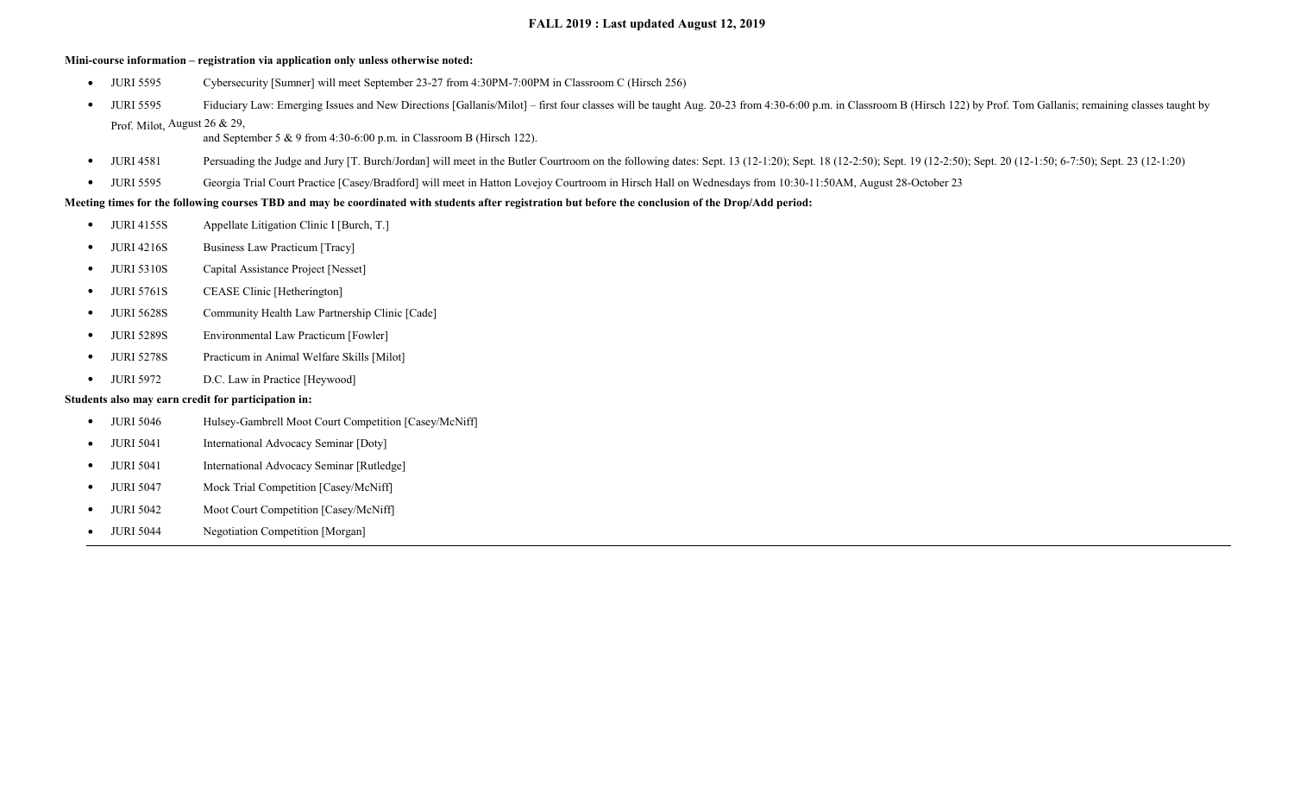#### **FALL 2019 : Last updated August 12, 2019**

#### **Mini-course information – registration via application only unless otherwise noted:**

- JURI 5595 Cybersecurity [Sumner] will meet September 23-27 from 4:30PM-7:00PM in Classroom C (Hirsch 256)
- JURI 5595 Fiduciary Law: Emerging Issues and New Directions [Gallanis/Milot] first four classes will be taught Aug. 20-23 from 4:30-6:00 p.m. in Classroom B (Hirsch 122) by Prof. Tom Gallanis; remaining classes taught Prof. Milot, August 26 & 29,

and September 5 & 9 from 4:30-6:00 p.m. in Classroom B (Hirsch 122).

- JURI 4581 Persuading the Judge and Jury [T. Burch/Jordan] will meet in the Butler Courtroom on the following dates: Sept. 13 (12-1:20); Sept. 18 (12-2:50); Sept. 19 (12-2:50); Sept. 20 (12-1:50; 6-7:50); Sept. 23 (12-1:2
- JURI 5595 Georgia Trial Court Practice [Casey/Bradford] will meet in Hatton Lovejoy Courtroom in Hirsch Hall on Wednesdays from 10:30-11:50AM, August 28-October 23

#### **Meeting times for the following courses TBD and may be coordinated with students after registration but before the conclusion of the Drop/Add period:**

- JURI 4155S Appellate Litigation Clinic I [Burch, T.]
- JURI 4216S Business Law Practicum [Tracy]
- JURI 5310S Capital Assistance Project [Nesset]
- JURI 5761S CEASE Clinic [Hetherington]
- JURI 5628S Community Health Law Partnership Clinic [Cade]
- JURI 5289S Environmental Law Practicum [Fowler]
- JURI 5278S Practicum in Animal Welfare Skills [Milot]
- JURI 5972 D.C. Law in Practice [Heywood]

#### **Students also may earn credit for participation in:**

- JURI 5046 Hulsey-Gambrell Moot Court Competition [Casey/McNiff]
- JURI 5041 International Advocacy Seminar [Doty]
- JURI 5041 International Advocacy Seminar [Rutledge]
- JURI 5047 Mock Trial Competition [Casey/McNiff]
- JURI 5042 Moot Court Competition [Casey/McNiff]
- JURI 5044 Negotiation Competition [Morgan]